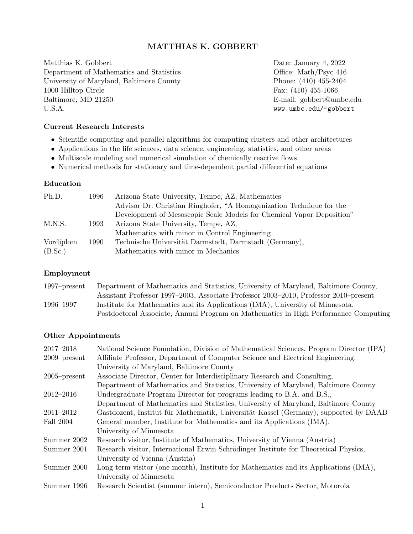## MATTHIAS K. GOBBERT

Matthias K. Gobbert Date: January 4, 2022 Department of Mathematics and Statistics Office: Math/Psyc 416 University of Maryland, Baltimore County Phone: (410) 455-2404 1000 Hilltop Circle Fax: (410) 455-1066 Baltimore, MD 21250 **E-mail:** gobbert@umbc.edu U.S.A. www.umbc.edu/~gobbert

## Current Research Interests

- Scientific computing and parallel algorithms for computing clusters and other architectures
- Applications in the life sciences, data science, engineering, statistics, and other areas
- Multiscale modeling and numerical simulation of chemically reactive flows
- Numerical methods for stationary and time-dependent partial differential equations

### Education

| 1996 | Arizona State University, Tempe, AZ, Mathematics                      |
|------|-----------------------------------------------------------------------|
|      | Advisor Dr. Christian Ringhofer, "A Homogenization Technique for the  |
|      | Development of Mesoscopic Scale Models for Chemical Vapor Deposition" |
| 1993 | Arizona State University, Tempe, AZ,                                  |
|      | Mathematics with minor in Control Engineering                         |
| 1990 | Technische Universität Darmstadt, Darmstadt (Germany),                |
|      | Mathematics with minor in Mechanics                                   |
|      |                                                                       |

## Employment

| $1997$ -present | Department of Mathematics and Statistics, University of Maryland, Baltimore County,  |
|-----------------|--------------------------------------------------------------------------------------|
|                 | Assistant Professor 1997–2003, Associate Professor 2003–2010, Professor 2010–present |
| 1996–1997       | Institute for Mathematics and its Applications (IMA), University of Minnesota,       |
|                 | Postdoctoral Associate, Annual Program on Mathematics in High Performance Computing  |

#### Other Appointments

| 2017-2018       | National Science Foundation, Division of Mathematical Sciences, Program Director (IPA) |
|-----------------|----------------------------------------------------------------------------------------|
| $2009$ -present | Affiliate Professor, Department of Computer Science and Electrical Engineering,        |
|                 | University of Maryland, Baltimore County                                               |
| $2005$ -present | Associate Director, Center for Interdisciplinary Research and Consulting,              |
|                 | Department of Mathematics and Statistics, University of Maryland, Baltimore County     |
| 2012-2016       | Undergraduate Program Director for programs leading to B.A. and B.S.,                  |
|                 | Department of Mathematics and Statistics, University of Maryland, Baltimore County     |
| $2011 - 2012$   | Gastdozent, Institut für Mathematik, Universität Kassel (Germany), supported by DAAD   |
| Fall 2004       | General member, Institute for Mathematics and its Applications (IMA),                  |
|                 | University of Minnesota                                                                |
| Summer 2002     | Research visitor, Institute of Mathematics, University of Vienna (Austria)             |
| Summer 2001     | Research visitor, International Erwin Schrödinger Institute for Theoretical Physics,   |
|                 | University of Vienna (Austria)                                                         |
| Summer 2000     | Long-term visitor (one month), Institute for Mathematics and its Applications (IMA),   |
|                 | University of Minnesota                                                                |
| Summer 1996     | Research Scientist (summer intern), Semiconductor Products Sector, Motorola            |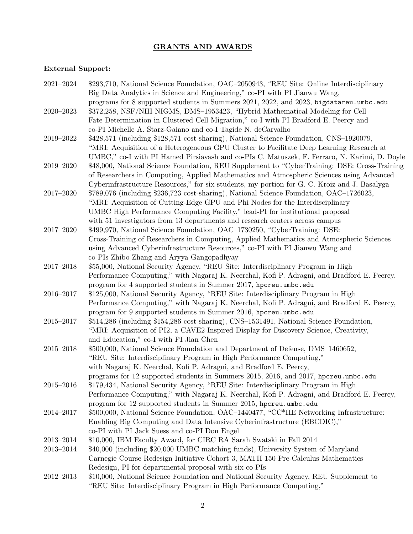## GRANTS AND AWARDS

# External Support:

| $2021 - 2024$ | \$293,710, National Science Foundation, OAC-2050943, "REU Site: Online Interdisciplinary                                                                                                 |
|---------------|------------------------------------------------------------------------------------------------------------------------------------------------------------------------------------------|
|               | Big Data Analytics in Science and Engineering," co-PI with PI Jianwu Wang,                                                                                                               |
| $2020 - 2023$ | programs for 8 supported students in Summers 2021, 2022, and 2023, bigdatareu.umbc.edu<br>\$372,258, NSF/NIH-NIGMS, DMS-1953423, "Hybrid Mathematical Modeling for Cell                  |
|               | Fate Determination in Clustered Cell Migration," co-I with PI Bradford E. Peercy and                                                                                                     |
|               | co-PI Michelle A. Starz-Gaiano and co-I Tagide N. deCarvalho                                                                                                                             |
| $2019 - 2022$ | \$428,571 (including \$128,571 cost-sharing), National Science Foundation, CNS-1920079,                                                                                                  |
|               | "MRI: Acquisition of a Heterogeneous GPU Cluster to Facilitate Deep Learning Research at<br>UMBC," co-I with PI Hamed Pirsiavash and co-PIs C. Matuszek, F. Ferraro, N. Karimi, D. Doyle |
| $2019 - 2020$ | \$48,000, National Science Foundation, REU Supplement to "CyberTraining: DSE: Cross-Training                                                                                             |
|               | of Researchers in Computing, Applied Mathematics and Atmospheric Sciences using Advanced                                                                                                 |
|               | Cyberinfrastructure Resources," for six students, my portion for G. C. Kroiz and J. Basalyga                                                                                             |
| $2017 - 2020$ | \$789,076 (including \$236,723 cost-sharing), National Science Foundation, OAC-1726023,                                                                                                  |
|               | "MRI: Acquisition of Cutting-Edge GPU and Phi Nodes for the Interdisciplinary                                                                                                            |
|               | UMBC High Performance Computing Facility," lead-PI for institutional proposal                                                                                                            |
|               | with 51 investigators from 13 departments and research centers across campus                                                                                                             |
| 2017-2020     | \$499,970, National Science Foundation, OAC-1730250, "CyberTraining: DSE:                                                                                                                |
|               | Cross-Training of Researchers in Computing, Applied Mathematics and Atmospheric Sciences                                                                                                 |
|               | using Advanced Cyberinfrastructure Resources," co-PI with PI Jianwu Wang and                                                                                                             |
|               | co-PIs Zhibo Zhang and Aryya Gangopadhyay                                                                                                                                                |
| $2017 - 2018$ | \$55,000, National Security Agency, "REU Site: Interdisciplinary Program in High                                                                                                         |
|               | Performance Computing," with Nagaraj K. Neerchal, Kofi P. Adragni, and Bradford E. Peercy,                                                                                               |
|               | program for 4 supported students in Summer 2017, hpcreu.umbc.edu                                                                                                                         |
| $2016 - 2017$ | \$125,000, National Security Agency, "REU Site: Interdisciplinary Program in High                                                                                                        |
|               | Performance Computing," with Nagaraj K. Neerchal, Kofi P. Adragni, and Bradford E. Peercy,                                                                                               |
|               | program for 9 supported students in Summer 2016, hpcreu.umbc.edu                                                                                                                         |
| $2015 - 2017$ | \$514,286 (including \$154,286 cost-sharing), CNS-1531491, National Science Foundation,                                                                                                  |
|               | "MRI: Acquisition of PI2, a CAVE2-Inspired Display for Discovery Science, Creativity,<br>and Education," co-I with PI Jian Chen                                                          |
| $2015 - 2018$ | \$500,000, National Science Foundation and Department of Defense, DMS-1460652,                                                                                                           |
|               | "REU Site: Interdisciplinary Program in High Performance Computing,"                                                                                                                     |
|               | with Nagaraj K. Neerchal, Kofi P. Adragni, and Bradford E. Peercy,                                                                                                                       |
|               | programs for 12 supported students in Summers 2015, 2016, and 2017, hpcreu.umbc.edu                                                                                                      |
| 2015-2016     | \$179,434, National Security Agency, "REU Site: Interdisciplinary Program in High                                                                                                        |
|               | Performance Computing," with Nagaraj K. Neerchal, Kofi P. Adragni, and Bradford E. Peercy,                                                                                               |
|               | program for 12 supported students in Summer 2015, hpcreu.umbc.edu                                                                                                                        |
| 2014-2017     | \$500,000, National Science Foundation, OAC-1440477, "CC*IIE Networking Infrastructure:                                                                                                  |
|               | Enabling Big Computing and Data Intensive Cyberinfrastructure (EBCDIC),"                                                                                                                 |
|               | co-PI with PI Jack Suess and co-PI Don Engel                                                                                                                                             |
| $2013 - 2014$ | \$10,000, IBM Faculty Award, for CIRC RA Sarah Swatski in Fall 2014                                                                                                                      |
| $2013 - 2014$ | \$40,000 (including \$20,000 UMBC matching funds), University System of Maryland                                                                                                         |
|               | Carnegie Course Redesign Initiative Cohort 3, MATH 150 Pre-Calculus Mathematics                                                                                                          |
|               | Redesign, PI for departmental proposal with six co-PIs                                                                                                                                   |
| $2012 - 2013$ | \$10,000, National Science Foundation and National Security Agency, REU Supplement to                                                                                                    |
|               | "REU Site: Interdisciplinary Program in High Performance Computing,"                                                                                                                     |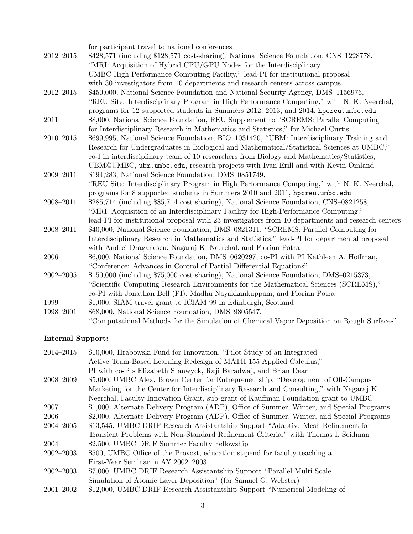|               | for participant travel to national conferences                                                    |
|---------------|---------------------------------------------------------------------------------------------------|
| $2012 - 2015$ | \$428,571 (including \$128,571 cost-sharing), National Science Foundation, CNS-1228778,           |
|               | "MRI: Acquisition of Hybrid CPU/GPU Nodes for the Interdisciplinary                               |
|               | UMBC High Performance Computing Facility," lead-PI for institutional proposal                     |
|               | with 30 investigators from 10 departments and research centers across campus                      |
| $2012 - 2015$ | \$450,000, National Science Foundation and National Security Agency, DMS-1156976,                 |
|               | "REU Site: Interdisciplinary Program in High Performance Computing," with N. K. Neerchal,         |
|               | programs for 12 supported students in Summers 2012, 2013, and 2014, hpcreu.umbc.edu               |
| 2011          | \$8,000, National Science Foundation, REU Supplement to "SCREMS: Parallel Computing               |
|               | for Interdisciplinary Research in Mathematics and Statistics," for Michael Curtis                 |
| $2010 - 2015$ | \$699,995, National Science Foundation, BIO-1031420, "UBM: Interdisciplinary Training and         |
|               | Research for Undergraduates in Biological and Mathematical/Statistical Sciences at UMBC,"         |
|               | co-I in interdisciplinary team of 10 researchers from Biology and Mathematics/Statistics,         |
|               | UBM@UMBC, ubm.umbc.edu, research projects with Ivan Erill and with Kevin Omland                   |
| 2009-2011     | \$194,283, National Science Foundation, DMS-0851749,                                              |
|               | "REU Site: Interdisciplinary Program in High Performance Computing," with N. K. Neerchal,         |
|               | programs for 8 supported students in Summers 2010 and 2011, hpcreu.umbc.edu                       |
| 2008-2011     | \$285,714 (including \$85,714 cost-sharing), National Science Foundation, CNS-0821258,            |
|               | "MRI: Acquisition of an Interdisciplinary Facility for High-Performance Computing,"               |
|               | lead-PI for institutional proposal with 23 investigators from 10 departments and research centers |
| 2008-2011     | \$40,000, National Science Foundation, DMS-0821311, "SCREMS: Parallel Computing for               |
|               | Interdisciplinary Research in Mathematics and Statistics," lead-PI for departmental proposal      |
|               | with Andrei Draganescu, Nagaraj K. Neerchal, and Florian Potra                                    |
| 2006          | \$6,000, National Science Foundation, DMS-0620297, co-PI with PI Kathleen A. Hoffman,             |
|               | "Conference: Advances in Control of Partial Differential Equations"                               |
| $2002 - 2005$ | \$150,000 (including \$75,000 cost-sharing), National Science Foundation, DMS-0215373,            |
|               | "Scientific Computing Research Environments for the Mathematical Sciences (SCREMS),"              |
|               | co-PI with Jonathan Bell (PI), Madhu Nayakkankuppam, and Florian Potra                            |
| 1999          | \$1,000, SIAM travel grant to ICIAM 99 in Edinburgh, Scotland                                     |
| 1998-2001     | \$68,000, National Science Foundation, DMS-9805547,                                               |
|               | "Computational Methods for the Simulation of Chemical Vapor Deposition on Rough Surfaces"         |

# Internal Support:

| 2014-2015     | \$10,000, Hrabowski Fund for Innovation, "Pilot Study of an Integrated                    |
|---------------|-------------------------------------------------------------------------------------------|
|               | Active Team-Based Learning Redesign of MATH 155 Applied Calculus,"                        |
|               | PI with co-PIs Elizabeth Stanwyck, Raji Baradwaj, and Brian Dean                          |
| 2008–2009     | \$5,000, UMBC Alex. Brown Center for Entrepreneurship, "Development of Off-Campus         |
|               | Marketing for the Center for Interdisciplinary Research and Consulting," with Nagaraj K.  |
|               | Neerchal, Faculty Innovation Grant, sub-grant of Kauffman Foundation grant to UMBC        |
| 2007          | \$1,000, Alternate Delivery Program (ADP), Office of Summer, Winter, and Special Programs |
| 2006          | \$2,000, Alternate Delivery Program (ADP), Office of Summer, Winter, and Special Programs |
| 2004-2005     | \$13,545, UMBC DRIF Research Assistantship Support "Adaptive Mesh Refinement for          |
|               | Transient Problems with Non-Standard Refinement Criteria," with Thomas I. Seidman         |
| 2004          | \$2,500, UMBC DRIF Summer Faculty Fellowship                                              |
| $2002 - 2003$ | \$500, UMBC Office of the Provost, education stipend for faculty teaching a               |
|               | First-Year Seminar in AY 2002-2003                                                        |
| $2002 - 2003$ | \$7,000, UMBC DRIF Research Assistantship Support "Parallel Multi Scale"                  |
|               | Simulation of Atomic Layer Deposition" (for Samuel G. Webster)                            |
| $2001 - 2002$ | \$12,000, UMBC DRIF Research Assistantship Support "Numerical Modeling of                 |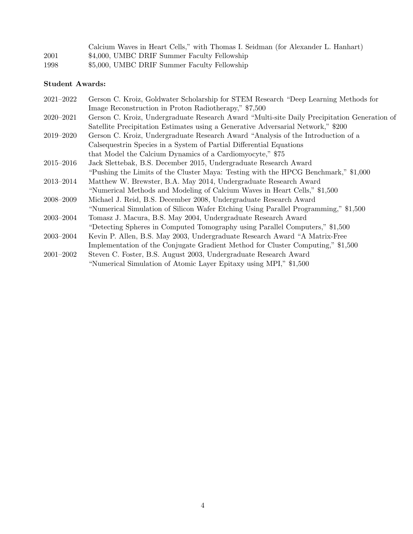|      | Calcium Waves in Heart Cells," with Thomas I. Seidman (for Alexander L. Hanhart) |
|------|----------------------------------------------------------------------------------|
| 2001 | \$4,000, UMBC DRIF Summer Faculty Fellowship                                     |
| 1998 | \$5,000, UMBC DRIF Summer Faculty Fellowship                                     |

## Student Awards:

| $2021 - 2022$       | Gerson C. Kroiz, Goldwater Scholarship for STEM Research "Deep Learning Methods for         |
|---------------------|---------------------------------------------------------------------------------------------|
|                     | Image Reconstruction in Proton Radiotherapy," \$7,500                                       |
| $2020 - 2021$       | Gerson C. Kroiz, Undergraduate Research Award "Multi-site Daily Precipitation Generation of |
|                     | Satellite Precipitation Estimates using a Generative Adversarial Network," \$200            |
| 2019-2020           | Gerson C. Kroiz, Undergraduate Research Award "Analysis of the Introduction of a            |
|                     | Calsequestrin Species in a System of Partial Differential Equations                         |
|                     | that Model the Calcium Dynamics of a Cardiomyocyte," \$75                                   |
| $2015\hbox{--}2016$ | Jack Slettebak, B.S. December 2015, Undergraduate Research Award                            |
|                     | "Pushing the Limits of the Cluster Maya: Testing with the HPCG Benchmark," \$1,000          |
| 2013–2014           | Matthew W. Brewster, B.A. May 2014, Undergraduate Research Award                            |
|                     | "Numerical Methods and Modeling of Calcium Waves in Heart Cells," \$1,500                   |
| 2008–2009           | Michael J. Reid, B.S. December 2008, Undergraduate Research Award                           |
|                     | "Numerical Simulation of Silicon Wafer Etching Using Parallel Programming," \$1,500         |
| $2003 - 2004$       | Tomasz J. Macura, B.S. May 2004, Undergraduate Research Award                               |
|                     | "Detecting Spheres in Computed Tomography using Parallel Computers," \$1,500                |
| $2003 - 2004$       | Kevin P. Allen, B.S. May 2003, Undergraduate Research Award "A Matrix-Free                  |
|                     | Implementation of the Conjugate Gradient Method for Cluster Computing," \$1,500             |
| $2001 - 2002$       | Steven C. Foster, B.S. August 2003, Undergraduate Research Award                            |
|                     | "Numerical Simulation of Atomic Layer Epitaxy using MPI," \$1,500                           |
|                     |                                                                                             |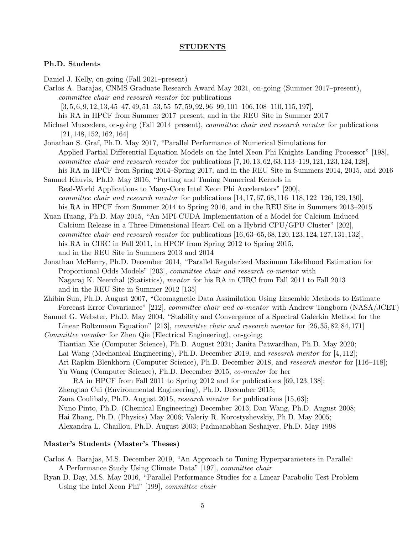#### STUDENTS

#### Ph.D. Students

Daniel J. Kelly, on-going (Fall 2021–present)

Carlos A. Barajas, CNMS Graduate Research Award May 2021, on-going (Summer 2017–present), committee chair and research mentor for publications  $[3, 5, 6, 9, 12, 13, 45-47, 49, 51-53, 55-57, 59, 92, 96-99, 101-106, 108-110, 115, 197]$ 

his RA in HPCF from Summer 2017–present, and in the REU Site in Summer 2017

Michael Muscedere, on-going (Fall 2014–present), *committee chair and research mentor* for publications [21, 148, 152, 162, 164]

Jonathan S. Graf, Ph.D. May 2017, "Parallel Performance of Numerical Simulations for Applied Partial Differential Equation Models on the Intel Xeon Phi Knights Landing Processor" [198], *committee chair and research mentor for publications*  $[7, 10, 13, 62, 63, 113–119, 121, 123, 124, 128]$ , his RA in HPCF from Spring 2014–Spring 2017, and in the REU Site in Summers 2014, 2015, and 2016

Samuel Khuvis, Ph.D. May 2016, "Porting and Tuning Numerical Kernels in Real-World Applications to Many-Core Intel Xeon Phi Accelerators" [200], *committee chair and research mentor* for publications  $[14, 17, 67, 68, 116-118, 122-126, 129, 130]$ , his RA in HPCF from Summer 2014 to Spring 2016, and in the REU Site in Summers 2013–2015

Xuan Huang, Ph.D. May 2015, "An MPI-CUDA Implementation of a Model for Calcium Induced Calcium Release in a Three-Dimensional Heart Cell on a Hybrid CPU/GPU Cluster" [202], *committee chair and research mentor* for publications  $[16, 63–65, 68, 120, 123, 124, 127, 131, 132]$ , his RA in CIRC in Fall 2011, in HPCF from Spring 2012 to Spring 2015, and in the REU Site in Summers 2013 and 2014

Jonathan McHenry, Ph.D. December 2014, "Parallel Regularized Maximum Likelihood Estimation for Proportional Odds Models" [203], committee chair and research co-mentor with Nagaraj K. Neerchal (Statistics), mentor for his RA in CIRC from Fall 2011 to Fall 2013 and in the REU Site in Summer 2012 [135]

Zhibin Sun, Ph.D. August 2007, "Geomagnetic Data Assimilation Using Ensemble Methods to Estimate Forecast Error Covariance" [212], committee chair and co-mentor with Andrew Tangborn (NASA/JCET)

Samuel G. Webster, Ph.D. May 2004, "Stability and Convergence of a Spectral Galerkin Method for the Linear Boltzmann Equation" [213], *committee chair and research mentor* for [26, 35, 82, 84, 171]

Committee member for Zhen Qie (Electrical Engineering), on-going; Tiantian Xie (Computer Science), Ph.D. August 2021; Janita Patwardhan, Ph.D. May 2020; Lai Wang (Mechanical Engineering), Ph.D. December 2019, and research mentor for [4, 112]; Ari Rapkin Blenkhorn (Computer Science), Ph.D. December 2018, and research mentor for [116–118]; Yu Wang (Computer Science), Ph.D. December 2015, co-mentor for her RA in HPCF from Fall 2011 to Spring 2012 and for publications [69, 123, 138]; Zhengtao Cui (Environmental Engineering), Ph.D. December 2015;

Zana Coulibaly, Ph.D. August 2015, research mentor for publications [15, 63];

Nuno Pinto, Ph.D. (Chemical Engineering) December 2013; Dan Wang, Ph.D. August 2008;

Hai Zhang, Ph.D. (Physics) May 2006; Valeriy R. Korostyshevskiy, Ph.D. May 2005;

Alexandra L. Chaillou, Ph.D. August 2003; Padmanabhan Seshaiyer, Ph.D. May 1998

#### Master's Students (Master's Theses)

Carlos A. Barajas, M.S. December 2019, "An Approach to Tuning Hyperparameters in Parallel: A Performance Study Using Climate Data" [197], committee chair

Ryan D. Day, M.S. May 2016, "Parallel Performance Studies for a Linear Parabolic Test Problem Using the Intel Xeon Phi" [199], committee chair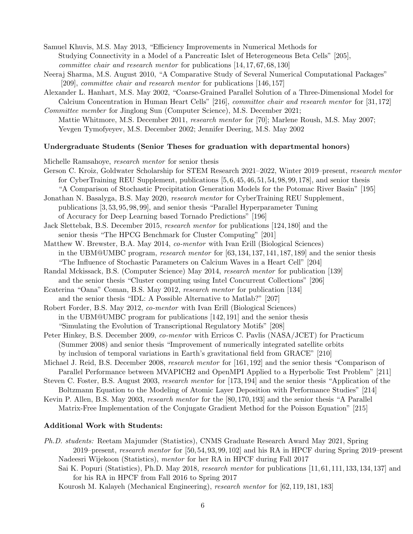Samuel Khuvis, M.S. May 2013, "Efficiency Improvements in Numerical Methods for Studying Connectivity in a Model of a Pancreatic Islet of Heterogeneous Beta Cells" [205], committee chair and research mentor for publications [14, 17, 67, 68, 130]

- Neeraj Sharma, M.S. August 2010, "A Comparative Study of Several Numerical Computational Packages" [209], committee chair and research mentor for publications [146, 157]
- Alexander L. Hanhart, M.S. May 2002, "Coarse-Grained Parallel Solution of a Three-Dimensional Model for Calcium Concentration in Human Heart Cells" [216], committee chair and research mentor for [31, 172]
- Committee member for Jinglong Sun (Computer Science), M.S. December 2021; Mattie Whitmore, M.S. December 2011, *research mentor* for [70]; Marlene Roush, M.S. May 2007; Yevgen Tymofyeyev, M.S. December 2002; Jennifer Deering, M.S. May 2002

### Undergraduate Students (Senior Theses for graduation with departmental honors)

Michelle Ramsahoye, research mentor for senior thesis

Gerson C. Kroiz, Goldwater Scholarship for STEM Research 2021–2022, Winter 2019–present, research mentor for CyberTraining REU Supplement, publications [5, 6, 45, 46, 51, 54, 98, 99, 178], and senior thesis "A Comparison of Stochastic Precipitation Generation Models for the Potomac River Basin" [195]

Jonathan N. Basalyga, B.S. May 2020, research mentor for CyberTraining REU Supplement, publications [3, 53, 95, 98, 99], and senior thesis "Parallel Hyperparameter Tuning of Accuracy for Deep Learning based Tornado Predictions" [196]

- Jack Slettebak, B.S. December 2015, research mentor for publications [124, 180] and the senior thesis "The HPCG Benchmark for Cluster Computing" [201]
- Matthew W. Brewster, B.A. May 2014, co-mentor with Ivan Erill (Biological Sciences) in the UBM@UMBC program, research mentor for [63, 134, 137, 141, 187, 189] and the senior thesis "The Influence of Stochastic Parameters on Calcium Waves in a Heart Cell" [204]
- Randal Mckissack, B.S. (Computer Science) May 2014, research mentor for publication [139] and the senior thesis "Cluster computing using Intel Concurrent Collections" [206]
- Ecaterina "Oana" Coman, B.S. May 2012, research mentor for publication [134] and the senior thesis "IDL: A Possible Alternative to Matlab?" [207]
- Robert Forder, B.S. May 2012, co-mentor with Ivan Erill (Biological Sciences) in the UBM@UMBC program for publications [142, 191] and the senior thesis "Simulating the Evolution of Transcriptional Regulatory Motifs" [208]
- Peter Hinkey, B.S. December 2009, *co-mentor* with Erricos C. Pavlis (NASA/JCET) for Practicum (Summer 2008) and senior thesis "Improvement of numerically integrated satellite orbits by inclusion of temporal variations in Earth's gravitational field from GRACE" [210]
- Michael J. Reid, B.S. December 2008, *research mentor* for [161, 192] and the senior thesis "Comparison of Parallel Performance between MVAPICH2 and OpenMPI Applied to a Hyperbolic Test Problem" [211]

Steven C. Foster, B.S. August 2003, research mentor for [173, 194] and the senior thesis "Application of the Boltzmann Equation to the Modeling of Atomic Layer Deposition with Performance Studies" [214]

Kevin P. Allen, B.S. May 2003, *research mentor* for the [80,170,193] and the senior thesis "A Parallel Matrix-Free Implementation of the Conjugate Gradient Method for the Poisson Equation" [215]

#### Additional Work with Students:

- Ph.D. students: Reetam Majumder (Statistics), CNMS Graduate Research Award May 2021, Spring 2019–present, research mentor for [50, 54, 93, 99, 102] and his RA in HPCF during Spring 2019–present Nadeesri Wijekoon (Statistics), mentor for her RA in HPCF during Fall 2017
	- Sai K. Popuri (Statistics), Ph.D. May 2018, research mentor for publications [11, 61, 111, 133, 134, 137] and for his RA in HPCF from Fall 2016 to Spring 2017

Kourosh M. Kalayeh (Mechanical Engineering), research mentor for [62, 119, 181, 183]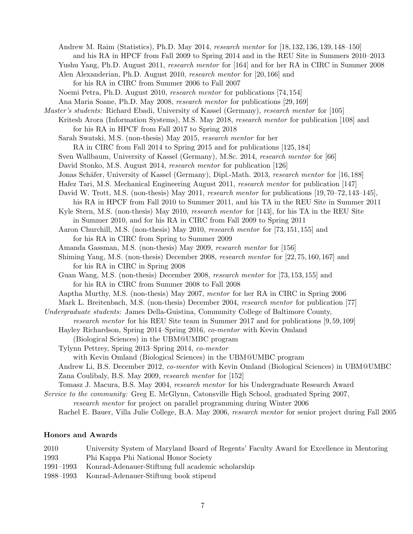Andrew M. Raim (Statistics), Ph.D. May 2014, research mentor for [18, 132, 136, 139, 148–150]

- and his RA in HPCF from Fall 2009 to Spring 2014 and in the REU Site in Summers 2010–2013
- Yushu Yang, Ph.D. August 2011, *research mentor* for [164] and for her RA in CIRC in Summer 2008 Alen Alexanderian, Ph.D. August 2010, research mentor for [20, 166] and
	- for his RA in CIRC from Summer 2006 to Fall 2007
- Noemi Petra, Ph.D. August 2010, research mentor for publications [74, 154]
- Ana Maria Soane, Ph.D. May 2008, research mentor for publications [29, 169]
- Master's students: Richard Ebadi, University of Kassel (Germany), research mentor for [105]
	- Kritesh Arora (Information Systems), M.S. May 2018, *research mentor* for publication [108] and for his RA in HPCF from Fall 2017 to Spring 2018
	- Sarah Swatski, M.S. (non-thesis) May 2015, research mentor for her
		- RA in CIRC from Fall 2014 to Spring 2015 and for publications [125, 184]
	- Sven Wallbaum, University of Kassel (Germany), M.Sc. 2014, *research mentor* for [66]
	- David Stonko, M.S. August 2014, *research mentor* for publication [126]
	- Jonas Schäfer, University of Kassel (Germany), Dipl.-Math. 2013, research mentor for [16,188]
	- Hafez Tari, M.S. Mechanical Engineering August 2011, research mentor for publication [147]
	- David W. Trott, M.S. (non-thesis) May 2011, research mentor for publications [19, 70–72, 143–145],
	- his RA in HPCF from Fall 2010 to Summer 2011, and his TA in the REU Site in Summer 2011

Kyle Stern, M.S. (non-thesis) May 2010, research mentor for [143], for his TA in the REU Site in Summer 2010, and for his RA in CIRC from Fall 2009 to Spring 2011

- Aaron Churchill, M.S. (non-thesis) May 2010, research mentor for [73, 151, 155] and for his RA in CIRC from Spring to Summer 2009
- Amanda Gassman, M.S. (non-thesis) May 2009, research mentor for [156]
- Shiming Yang, M.S. (non-thesis) December 2008, research mentor for [22, 75, 160, 167] and for his RA in CIRC in Spring 2008
- Guan Wang, M.S. (non-thesis) December 2008, research mentor for [73, 153, 155] and for his RA in CIRC from Summer 2008 to Fall 2008
- Aaptha Murthy, M.S. (non-thesis) May 2007, mentor for her RA in CIRC in Spring 2006

Mark L. Breitenbach, M.S. (non-thesis) December 2004, *research mentor* for publication [77]

- Undergraduate students: James Della-Guistina, Community College of Baltimore County, research mentor for his REU Site team in Summer 2017 and for publications [9, 59, 109]
	- Hayley Richardson, Spring 2014–Spring 2016, co-mentor with Kevin Omland
		- (Biological Sciences) in the UBM@UMBC program
	- Tylynn Pettrey, Spring 2013–Spring 2014, co-mentor
		- with Kevin Omland (Biological Sciences) in the UBM@UMBC program
	- Andrew Li, B.S. December 2012, co-mentor with Kevin Omland (Biological Sciences) in UBM@UMBC Zana Coulibaly, B.S. May 2009, research mentor for [152]
	- Tomasz J. Macura, B.S. May 2004, research mentor for his Undergraduate Research Award
- Service to the community: Greg E. McGlynn, Catonsville High School, graduated Spring 2007,

research mentor for project on parallel programming during Winter 2006

Rachel E. Bauer, Villa Julie College, B.A. May 2006, *research mentor* for senior project during Fall 2005

## Honors and Awards

- 2010 University System of Maryland Board of Regents' Faculty Award for Excellence in Mentoring 1993 Phi Kappa Phi National Honor Society 1991–1993 Konrad-Adenauer-Stiftung full academic scholarship
- 1988–1993 Konrad-Adenauer-Stiftung book stipend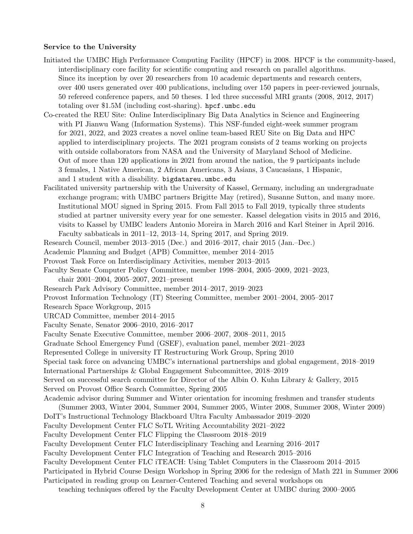#### Service to the University

- Initiated the UMBC High Performance Computing Facility (HPCF) in 2008. HPCF is the community-based, interdisciplinary core facility for scientific computing and research on parallel algorithms. Since its inception by over 20 researchers from 10 academic departments and research centers, over 400 users generated over 400 publications, including over 150 papers in peer-reviewed journals, 50 refereed conference papers, and 50 theses. I led three successful MRI grants (2008, 2012, 2017) totaling over \$1.5M (including cost-sharing). hpcf.umbc.edu
- Co-created the REU Site: Online Interdisciplinary Big Data Analytics in Science and Engineering with PI Jianwu Wang (Information Systems). This NSF-funded eight-week summer program for 2021, 2022, and 2023 creates a novel online team-based REU Site on Big Data and HPC applied to interdisciplinary projects. The 2021 program consists of 2 teams working on projects with outside collaborators from NASA and the University of Maryland School of Medicine. Out of more than 120 applications in 2021 from around the nation, the 9 participants include 3 females, 1 Native American, 2 African Americans, 3 Asians, 3 Caucasians, 1 Hispanic, and 1 student with a disability. bigdatareu.umbc.edu
- Facilitated university partnership with the University of Kassel, Germany, including an undergraduate exchange program; with UMBC partners Brigitte May (retired), Susanne Sutton, and many more. Institutional MOU signed in Spring 2015. From Fall 2015 to Fall 2019, typically three students studied at partner university every year for one semester. Kassel delegation visits in 2015 and 2016, visits to Kassel by UMBC leaders Antonio Moreira in March 2016 and Karl Steiner in April 2016. Faculty sabbaticals in 2011–12, 2013–14, Spring 2017, and Spring 2019.

Research Council, member 2013–2015 (Dec.) and 2016–2017, chair 2015 (Jan.–Dec.)

Academic Planning and Budget (APB) Committee, member 2014–2015

Provost Task Force on Interdisciplinary Activities, member 2013–2015

Faculty Senate Computer Policy Committee, member 1998–2004, 2005–2009, 2021–2023,

chair 2001–2004, 2005–2007, 2021–present

Research Park Advisory Committee, member 2014–2017, 2019–2023

Provost Information Technology (IT) Steering Committee, member 2001–2004, 2005–2017

Research Space Workgroup, 2015

URCAD Committee, member 2014–2015

Faculty Senate, Senator 2006–2010, 2016–2017

Faculty Senate Executive Committee, member 2006–2007, 2008–2011, 2015

Graduate School Emergency Fund (GSEF), evaluation panel, member 2021–2023

Represented College in university IT Restructuring Work Group, Spring 2010

Special task force on advancing UMBC's international partnerships and global engagement, 2018–2019

International Partnerships & Global Engagement Subcommittee, 2018–2019

Served on successful search committee for Director of the Albin O. Kuhn Library & Gallery, 2015 Served on Provost Office Search Committee, Spring 2005

Academic advisor during Summer and Winter orientation for incoming freshmen and transfer students

(Summer 2003, Winter 2004, Summer 2004, Summer 2005, Winter 2008, Summer 2008, Winter 2009)

DoIT's Instructional Technology Blackboard Ultra Faculty Ambassador 2019–2020

Faculty Development Center FLC SoTL Writing Accountability 2021–2022

Faculty Development Center FLC Flipping the Classroom 2018–2019

Faculty Development Center FLC Interdisciplinary Teaching and Learning 2016–2017

Faculty Development Center FLC Integration of Teaching and Research 2015–2016

Faculty Development Center FLC iTEACH: Using Tablet Computers in the Classroom 2014–2015

Participated in Hybrid Course Design Workshop in Spring 2006 for the redesign of Math 221 in Summer 2006

Participated in reading group on Learner-Centered Teaching and several workshops on

teaching techniques offered by the Faculty Development Center at UMBC during 2000–2005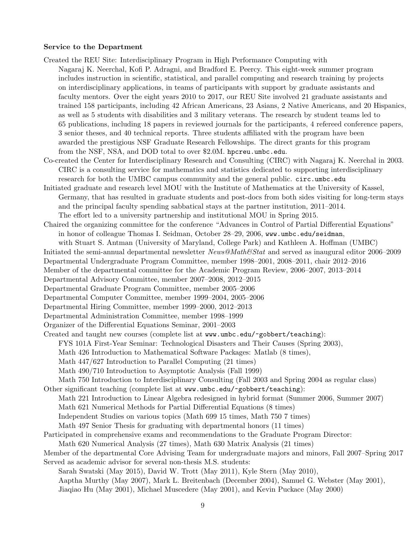#### Service to the Department

Created the REU Site: Interdisciplinary Program in High Performance Computing with

- Nagaraj K. Neerchal, Kofi P. Adragni, and Bradford E. Peercy. This eight-week summer program includes instruction in scientific, statistical, and parallel computing and research training by projects on interdisciplinary applications, in teams of participants with support by graduate assistants and faculty mentors. Over the eight years 2010 to 2017, our REU Site involved 21 graduate assistants and trained 158 participants, including 42 African Americans, 23 Asians, 2 Native Americans, and 20 Hispanics, as well as 5 students with disabilities and 3 military veterans. The research by student teams led to 65 publications, including 18 papers in reviewed journals for the participants, 4 refereed conference papers, 3 senior theses, and 40 technical reports. Three students affiliated with the program have been awarded the prestigious NSF Graduate Research Fellowships. The direct grants for this program from the NSF, NSA, and DOD total to over \$2.0M. hpcreu.umbc.edu.
- Co-created the Center for Interdisciplinary Research and Consulting (CIRC) with Nagaraj K. Neerchal in 2003. CIRC is a consulting service for mathematics and statistics dedicated to supporting interdisciplinary research for both the UMBC campus community and the general public. circ.umbc.edu
- Initiated graduate and research level MOU with the Institute of Mathematics at the University of Kassel, Germany, that has resulted in graduate students and post-docs from both sides visiting for long-term stays and the principal faculty spending sabbatical stays at the partner institution, 2011–2014. The effort led to a university partnership and institutional MOU in Spring 2015.
- Chaired the organizing committee for the conference "Advances in Control of Partial Differential Equations" in honor of colleague Thomas I. Seidman, October 28–29, 2006, www.umbc.edu/seidman,
	- with Stuart S. Antman (University of Maryland, College Park) and Kathleen A. Hoffman (UMBC)
- Initiated the semi-annual departmental newsletter News@Math&Stat and served as inaugural editor 2006–2009
- Departmental Undergraduate Program Committee, member 1998–2001, 2008–2011, chair 2012–2016
- Member of the departmental committee for the Academic Program Review, 2006–2007, 2013–2014
- Departmental Advisory Committee, member 2007–2008, 2012–2015
- Departmental Graduate Program Committee, member 2005–2006
- Departmental Computer Committee, member 1999–2004, 2005–2006
- Departmental Hiring Committee, member 1999–2000, 2012–2013
- Departmental Administration Committee, member 1998–1999
- Organizer of the Differential Equations Seminar, 2001–2003
- Created and taught new courses (complete list at www.umbc.edu/~gobbert/teaching): FYS 101A First-Year Seminar: Technological Disasters and Their Causes (Spring 2003), Math 426 Introduction to Mathematical Software Packages: Matlab (8 times), Math 447/627 Introduction to Parallel Computing (21 times) Math 490/710 Introduction to Asymptotic Analysis (Fall 1999)

Math 750 Introduction to Interdisciplinary Consulting (Fall 2003 and Spring 2004 as regular class) Other significant teaching (complete list at www.umbc.edu/~gobbert/teaching):

- Math 221 Introduction to Linear Algebra redesigned in hybrid format (Summer 2006, Summer 2007) Math 621 Numerical Methods for Partial Differential Equations (8 times) Independent Studies on various topics (Math 699 15 times, Math 750 7 times)
- Math 497 Senior Thesis for graduating with departmental honors (11 times)
- Participated in comprehensive exams and recommendations to the Graduate Program Director: Math 620 Numerical Analysis (27 times), Math 630 Matrix Analysis (21 times)
- Member of the departmental Core Advising Team for undergraduate majors and minors, Fall 2007–Spring 2017 Served as academic advisor for several non-thesis M.S. students:
	- Sarah Swatski (May 2015), David W. Trott (May 2011), Kyle Stern (May 2010), Aaptha Murthy (May 2007), Mark L. Breitenbach (December 2004), Samuel G. Webster (May 2001), Jiaqiao Hu (May 2001), Michael Muscedere (May 2001), and Kevin Puckace (May 2000)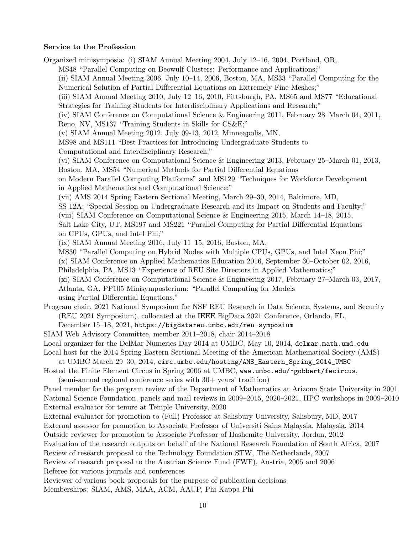#### Service to the Profession

Organized minisymposia: (i) SIAM Annual Meeting 2004, July 12–16, 2004, Portland, OR,

MS48 "Parallel Computing on Beowulf Clusters: Performance and Applications;"

(ii) SIAM Annual Meeting 2006, July 10–14, 2006, Boston, MA, MS33 "Parallel Computing for the Numerical Solution of Partial Differential Equations on Extremely Fine Meshes;"

(iii) SIAM Annual Meeting 2010, July 12–16, 2010, Pittsburgh, PA, MS65 and MS77 "Educational Strategies for Training Students for Interdisciplinary Applications and Research;"

(iv) SIAM Conference on Computational Science & Engineering 2011, February 28–March 04, 2011, Reno, NV, MS137 "Training Students in Skills for CS&E;"

(v) SIAM Annual Meeting 2012, July 09-13, 2012, Minneapolis, MN,

MS98 and MS111 "Best Practices for Introducing Undergraduate Students to

Computational and Interdisciplinary Research;"

(vi) SIAM Conference on Computational Science & Engineering 2013, February 25–March 01, 2013, Boston, MA, MS54 "Numerical Methods for Partial Differential Equations

on Modern Parallel Computing Platforms" and MS129 "Techniques for Workforce Development in Applied Mathematics and Computational Science;"

(vii) AMS 2014 Spring Eastern Sectional Meeting, March 29–30, 2014, Baltimore, MD,

SS 12A: "Special Session on Undergraduate Research and its Impact on Students and Faculty;"

(viii) SIAM Conference on Computational Science & Engineering 2015, March 14–18, 2015,

Salt Lake City, UT, MS197 and MS221 "Parallel Computing for Partial Differential Equations on CPUs, GPUs, and Intel Phi;"

(ix) SIAM Annual Meeting 2016, July 11–15, 2016, Boston, MA,

MS30 "Parallel Computing on Hybrid Nodes with Multiple CPUs, GPUs, and Intel Xeon Phi;"

(x) SIAM Conference on Applied Mathematics Education 2016, September 30–October 02, 2016,

Philadelphia, PA, MS13 "Experience of REU Site Directors in Applied Mathematics;"

(xi) SIAM Conference on Computational Science & Engineering 2017, February 27–March 03, 2017, Atlanta, GA, PP105 Minisymposterium: "Parallel Computing for Models

using Partial Differential Equations."

Program chair, 2021 National Symposium for NSF REU Research in Data Science, Systems, and Security (REU 2021 Symposium), collocated at the IEEE BigData 2021 Conference, Orlando, FL,

December 15–18, 2021, https://bigdatareu.umbc.edu/reu-symposium

SIAM Web Advisory Committee, member 2011–2018, chair 2014–2018

Local organizer for the DelMar Numerics Day 2014 at UMBC, May 10, 2014, delmar.math.umd.edu

Local host for the 2014 Spring Eastern Sectional Meeting of the American Mathematical Society (AMS)

at UMBC March 29–30, 2014, circ.umbc.edu/hosting/AMS\_Eastern\_Spring\_2014\_UMBC

Hosted the Finite Element Circus in Spring 2006 at UMBC, www.umbc.edu/~gobbert/fecircus, (semi-annual regional conference series with 30+ years' tradition)

Panel member for the program review of the Department of Mathematics at Arizona State University in 2001 National Science Foundation, panels and mail reviews in 2009–2015, 2020–2021, HPC workshops in 2009–2010 External evaluator for tenure at Temple University, 2020

External evaluator for promotion to (Full) Professor at Salisbury University, Salisbury, MD, 2017

External assessor for promotion to Associate Professor of Universiti Sains Malaysia, Malaysia, 2014

Outside reviewer for promotion to Associate Professor of Hashemite University, Jordan, 2012

Evaluation of the research outputs on behalf of the National Research Foundation of South Africa, 2007

Review of research proposal to the Technology Foundation STW, The Netherlands, 2007

Review of research proposal to the Austrian Science Fund (FWF), Austria, 2005 and 2006 Referee for various journals and conferences

Reviewer of various book proposals for the purpose of publication decisions Memberships: SIAM, AMS, MAA, ACM, AAUP, Phi Kappa Phi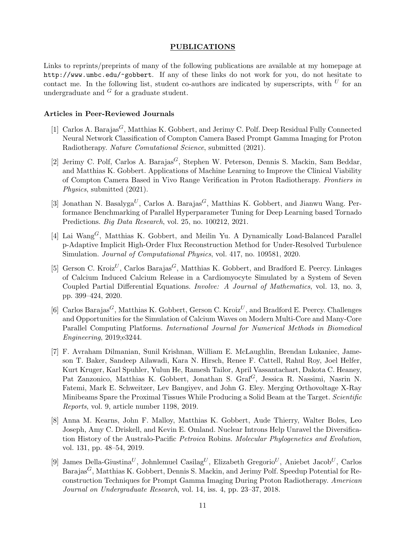## PUBLICATIONS

Links to reprints/preprints of many of the following publications are available at my homepage at http://www.umbc.edu/~gobbert. If any of these links do not work for you, do not hesitate to contact me. In the following list, student co-authors are indicated by superscripts, with  $U$  for an undergraduate and  $G$  for a graduate student.

#### Articles in Peer-Reviewed Journals

- [1] Carlos A. Barajas<sup>G</sup>, Matthias K. Gobbert, and Jerimy C. Polf. Deep Residual Fully Connected Neural Network Classification of Compton Camera Based Prompt Gamma Imaging for Proton Radiotherapy. Nature Comutational Science, submitted (2021).
- [2] Jerimy C. Polf, Carlos A. Barajas<sup>G</sup>, Stephen W. Peterson, Dennis S. Mackin, Sam Beddar, and Matthias K. Gobbert. Applications of Machine Learning to Improve the Clinical Viability of Compton Camera Based in Vivo Range Verification in Proton Radiotherapy. Frontiers in Physics, submitted (2021).
- [3] Jonathan N. Basalyga<sup>U</sup>, Carlos A. Barajas<sup>G</sup>, Matthias K. Gobbert, and Jianwu Wang. Performance Benchmarking of Parallel Hyperparameter Tuning for Deep Learning based Tornado Predictions. Big Data Research, vol. 25, no. 100212, 2021.
- [4] Lai Wang<sup>G</sup>, Matthias K. Gobbert, and Meilin Yu. A Dynamically Load-Balanced Parallel p-Adaptive Implicit High-Order Flux Reconstruction Method for Under-Resolved Turbulence Simulation. Journal of Computational Physics, vol. 417, no. 109581, 2020.
- [5] Gerson C. Kroiz<sup>U</sup>, Carlos Barajas<sup>G</sup>, Matthias K. Gobbert, and Bradford E. Peercy. Linkages of Calcium Induced Calcium Release in a Cardiomyocyte Simulated by a System of Seven Coupled Partial Differential Equations. Involve: A Journal of Mathematics, vol. 13, no. 3, pp. 399–424, 2020.
- [6] Carlos Barajas<sup>G</sup>, Matthias K. Gobbert, Gerson C. Kroiz<sup>U</sup>, and Bradford E. Peercy. Challenges and Opportunities for the Simulation of Calcium Waves on Modern Multi-Core and Many-Core Parallel Computing Platforms. International Journal for Numerical Methods in Biomedical Engineering, 2019;e3244.
- [7] F. Avraham Dilmanian, Sunil Krishnan, William E. McLaughlin, Brendan Lukaniec, Jameson T. Baker, Sandeep Ailawadi, Kara N. Hirsch, Renee F. Cattell, Rahul Roy, Joel Helfer, Kurt Kruger, Karl Spuhler, Yulun He, Ramesh Tailor, April Vassantachart, Dakota C. Heaney, Pat Zanzonico, Matthias K. Gobbert, Jonathan S. Graf<sup>G</sup>, Jessica R. Nassimi, Nasrin N. Fatemi, Mark E. Schweitzer, Lev Bangiyev, and John G. Eley. Merging Orthovoltage X-Ray Minibeams Spare the Proximal Tissues While Producing a Solid Beam at the Target. Scientific Reports, vol. 9, article number 1198, 2019.
- [8] Anna M. Kearns, John F. Malloy, Matthias K. Gobbert, Aude Thierry, Walter Boles, Leo Joseph, Amy C. Driskell, and Kevin E. Omland. Nuclear Introns Help Unravel the Diversification History of the Australo-Pacific Petroica Robins. Molecular Phylogenetics and Evolution, vol. 131, pp. 48–54, 2019.
- [9] James Della-Giustina<sup>U</sup>, Johnlemuel Casilag<sup>U</sup>, Elizabeth Gregorio<sup>U</sup>, Aniebet Jacob<sup>U</sup>, Carlos Barajas<sup>G</sup>, Matthias K. Gobbert, Dennis S. Mackin, and Jerimy Polf. Speedup Potential for Reconstruction Techniques for Prompt Gamma Imaging During Proton Radiotherapy. American Journal on Undergraduate Research, vol. 14, iss. 4, pp. 23–37, 2018.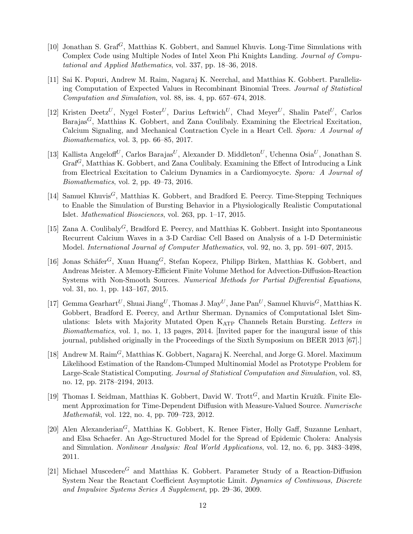- [10] Jonathan S.  $\text{Gra}^{G}$ , Matthias K. Gobbert, and Samuel Khuvis. Long-Time Simulations with Complex Code using Multiple Nodes of Intel Xeon Phi Knights Landing. Journal of Computational and Applied Mathematics, vol. 337, pp. 18–36, 2018.
- [11] Sai K. Popuri, Andrew M. Raim, Nagaraj K. Neerchal, and Matthias K. Gobbert. Parallelizing Computation of Expected Values in Recombinant Binomial Trees. Journal of Statistical Computation and Simulation, vol. 88, iss. 4, pp. 657–674, 2018.
- [12] Kristen Deetz<sup>U</sup>, Nygel Foster<sup>U</sup>, Darius Leftwich<sup>U</sup>, Chad Meyer<sup>U</sup>, Shalin Patel<sup>U</sup>, Carlos Barajas<sup>G</sup>, Matthias K. Gobbert, and Zana Coulibaly. Examining the Electrical Excitation, Calcium Signaling, and Mechanical Contraction Cycle in a Heart Cell. Spora: A Journal of Biomathematics, vol. 3, pp. 66–85, 2017.
- [13] Kallista Angeloff<sup>U</sup>, Carlos Barajas<sup>U</sup>, Alexander D. Middleton<sup>U</sup>, Uchenna Osia<sup>U</sup>, Jonathan S.  $\text{Graf}^G$ , Matthias K. Gobbert, and Zana Coulibaly. Examining the Effect of Introducing a Link from Electrical Excitation to Calcium Dynamics in a Cardiomyocyte. Spora: A Journal of Biomathematics, vol. 2, pp. 49–73, 2016.
- [14] Samuel Khuvis<sup>G</sup>, Matthias K. Gobbert, and Bradford E. Peercy. Time-Stepping Techniques to Enable the Simulation of Bursting Behavior in a Physiologically Realistic Computational Islet. Mathematical Biosciences, vol. 263, pp. 1–17, 2015.
- [15] Zana A. Coulibaly<sup>G</sup>, Bradford E. Peercy, and Matthias K. Gobbert. Insight into Spontaneous Recurrent Calcium Waves in a 3-D Cardiac Cell Based on Analysis of a 1-D Deterministic Model. International Journal of Computer Mathematics, vol. 92, no. 3, pp. 591–607, 2015.
- [16] Jonas Schäfer<sup>G</sup>, Xuan Huang<sup>G</sup>, Stefan Kopecz, Philipp Birken, Matthias K. Gobbert, and Andreas Meister. A Memory-Efficient Finite Volume Method for Advection-Diffusion-Reaction Systems with Non-Smooth Sources. Numerical Methods for Partial Differential Equations, vol. 31, no. 1, pp. 143–167, 2015.
- [17] Gemma Gearhart<sup>U</sup>, Shuai Jiang<sup>U</sup>, Thomas J. May<sup>U</sup>, Jane Pan<sup>U</sup>, Samuel Khuvis<sup>G</sup>, Matthias K. Gobbert, Bradford E. Peercy, and Arthur Sherman. Dynamics of Computational Islet Simulations: Islets with Majority Mutated Open KATP Channels Retain Bursting. Letters in Biomathematics, vol. 1, no. 1, 13 pages, 2014. [Invited paper for the inaugural issue of this journal, published originally in the Proceedings of the Sixth Symposium on BEER 2013 [67].]
- [18] Andrew M.  $\text{Rain}^G$ , Matthias K. Gobbert, Nagaraj K. Neerchal, and Jorge G. Morel. Maximum Likelihood Estimation of the Random-Clumped Multinomial Model as Prototype Problem for Large-Scale Statistical Computing. Journal of Statistical Computation and Simulation, vol. 83, no. 12, pp. 2178–2194, 2013.
- [19] Thomas I. Seidman, Matthias K. Gobbert, David W. Trott<sup> $G$ </sup>, and Martin Kružík. Finite Element Approximation for Time-Dependent Diffusion with Measure-Valued Source. Numerische Mathematik, vol. 122, no. 4, pp. 709–723, 2012.
- [20] Alen Alexanderian<sup>G</sup>, Matthias K. Gobbert, K. Renee Fister, Holly Gaff, Suzanne Lenhart, and Elsa Schaefer. An Age-Structured Model for the Spread of Epidemic Cholera: Analysis and Simulation. Nonlinear Analysis: Real World Applications, vol. 12, no. 6, pp. 3483–3498, 2011.
- [21] Michael Muscedere<sup>G</sup> and Matthias K. Gobbert. Parameter Study of a Reaction-Diffusion System Near the Reactant Coefficient Asymptotic Limit. Dynamics of Continuous, Discrete and Impulsive Systems Series A Supplement, pp. 29–36, 2009.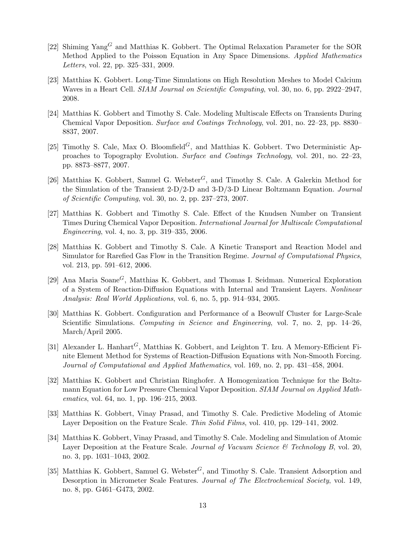- [22] Shiming Yang<sup>G</sup> and Matthias K. Gobbert. The Optimal Relaxation Parameter for the SOR Method Applied to the Poisson Equation in Any Space Dimensions. Applied Mathematics Letters, vol. 22, pp. 325–331, 2009.
- [23] Matthias K. Gobbert. Long-Time Simulations on High Resolution Meshes to Model Calcium Waves in a Heart Cell. SIAM Journal on Scientific Computing, vol. 30, no. 6, pp. 2922–2947, 2008.
- [24] Matthias K. Gobbert and Timothy S. Cale. Modeling Multiscale Effects on Transients During Chemical Vapor Deposition. Surface and Coatings Technology, vol. 201, no. 22–23, pp. 8830– 8837, 2007.
- [25] Timothy S. Cale, Max O. Bloomfield<sup>G</sup>, and Matthias K. Gobbert. Two Deterministic Approaches to Topography Evolution. Surface and Coatings Technology, vol. 201, no. 22–23, pp. 8873–8877, 2007.
- [26] Matthias K. Gobbert, Samuel G. Webster<sup> $G$ </sup>, and Timothy S. Cale. A Galerkin Method for the Simulation of the Transient 2-D/2-D and 3-D/3-D Linear Boltzmann Equation. Journal of Scientific Computing, vol. 30, no. 2, pp. 237–273, 2007.
- [27] Matthias K. Gobbert and Timothy S. Cale. Effect of the Knudsen Number on Transient Times During Chemical Vapor Deposition. International Journal for Multiscale Computational Engineering, vol. 4, no. 3, pp. 319–335, 2006.
- [28] Matthias K. Gobbert and Timothy S. Cale. A Kinetic Transport and Reaction Model and Simulator for Rarefied Gas Flow in the Transition Regime. Journal of Computational Physics, vol. 213, pp. 591–612, 2006.
- [29] Ana Maria Soane<sup>G</sup>, Matthias K. Gobbert, and Thomas I. Seidman. Numerical Exploration of a System of Reaction-Diffusion Equations with Internal and Transient Layers. Nonlinear Analysis: Real World Applications, vol. 6, no. 5, pp. 914–934, 2005.
- [30] Matthias K. Gobbert. Configuration and Performance of a Beowulf Cluster for Large-Scale Scientific Simulations. Computing in Science and Engineering, vol. 7, no. 2, pp. 14–26, March/April 2005.
- [31] Alexander L. Hanhart<sup>G</sup>, Matthias K. Gobbert, and Leighton T. Izu. A Memory-Efficient Finite Element Method for Systems of Reaction-Diffusion Equations with Non-Smooth Forcing. Journal of Computational and Applied Mathematics, vol. 169, no. 2, pp. 431–458, 2004.
- [32] Matthias K. Gobbert and Christian Ringhofer. A Homogenization Technique for the Boltzmann Equation for Low Pressure Chemical Vapor Deposition. SIAM Journal on Applied Mathematics, vol. 64, no. 1, pp. 196–215, 2003.
- [33] Matthias K. Gobbert, Vinay Prasad, and Timothy S. Cale. Predictive Modeling of Atomic Layer Deposition on the Feature Scale. Thin Solid Films, vol. 410, pp. 129–141, 2002.
- [34] Matthias K. Gobbert, Vinay Prasad, and Timothy S. Cale. Modeling and Simulation of Atomic Layer Deposition at the Feature Scale. Journal of Vacuum Science  $\mathscr B$  Technology B, vol. 20, no. 3, pp. 1031–1043, 2002.
- [35] Matthias K. Gobbert, Samuel G. Webster<sup>G</sup>, and Timothy S. Cale. Transient Adsorption and Desorption in Micrometer Scale Features. Journal of The Electrochemical Society, vol. 149, no. 8, pp. G461–G473, 2002.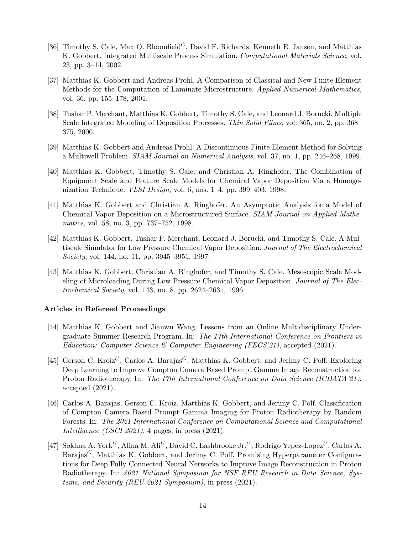- [36] Timothy S. Cale, Max O. Bloomfield<sup>G</sup>, David F. Richards, Kenneth E. Jansen, and Matthias K. Gobbert. Integrated Multiscale Process Simulation. Computational Materials Science, vol. 23, pp. 3–14, 2002.
- [37] Matthias K. Gobbert and Andreas Prohl. A Comparison of Classical and New Finite Element Methods for the Computation of Laminate Microstructure. Applied Numerical Mathematics, vol. 36, pp. 155–178, 2001.
- [38] Tushar P. Merchant, Matthias K. Gobbert, Timothy S. Cale, and Leonard J. Borucki. Multiple Scale Integrated Modeling of Deposition Processes. Thin Solid Films, vol. 365, no. 2, pp. 368– 375, 2000.
- [39] Matthias K. Gobbert and Andreas Prohl. A Discontinuous Finite Element Method for Solving a Multiwell Problem. SIAM Journal on Numerical Analysis, vol. 37, no. 1, pp. 246–268, 1999.
- [40] Matthias K. Gobbert, Timothy S. Cale, and Christian A. Ringhofer. The Combination of Equipment Scale and Feature Scale Models for Chemical Vapor Deposition Via a Homogenization Technique. VLSI Design, vol. 6, nos. 1–4, pp. 399–403, 1998.
- [41] Matthias K. Gobbert and Christian A. Ringhofer. An Asymptotic Analysis for a Model of Chemical Vapor Deposition on a Microstructured Surface. SIAM Journal on Applied Mathematics, vol. 58, no. 3, pp. 737–752, 1998.
- [42] Matthias K. Gobbert, Tushar P. Merchant, Leonard J. Borucki, and Timothy S. Cale. A Multiscale Simulator for Low Pressure Chemical Vapor Deposition. Journal of The Electrochemical Society, vol. 144, no. 11, pp. 3945–3951, 1997.
- [43] Matthias K. Gobbert, Christian A. Ringhofer, and Timothy S. Cale. Mesoscopic Scale Modeling of Microloading During Low Pressure Chemical Vapor Deposition. Journal of The Electrochemical Society, vol. 143, no. 8, pp. 2624–2631, 1996.

## Articles in Refereed Proceedings

- [44] Matthias K. Gobbert and Jianwu Wang. Lessons from an Online Multidisciplinary Undergraduate Summer Research Program. In: The 17th International Conference on Frontiers in Education: Computer Science & Computer Engineering (FECS'21), accepted (2021).
- [45] Gerson C. Kroiz<sup>U</sup>, Carlos A. Barajas<sup>G</sup>, Matthias K. Gobbert, and Jerimy C. Polf. Exploring Deep Learning to Improve Compton Camera Based Prompt Gamma Image Reconstruction for Proton Radiotherapy. In: The 17th International Conference on Data Science (ICDATA'21), accepted (2021).
- [46] Carlos A. Barajas, Gerson C. Kroiz, Matthias K. Gobbert, and Jerimy C. Polf. Classification of Compton Camera Based Prompt Gamma Imaging for Proton Radiotherapy by Random Forests. In: The 2021 International Conference on Computational Science and Computational Intelligence (CSCI 2021), 4 pages, in press (2021).
- [47] Sokhna A. York<sup>U</sup>, Alina M. Ali<sup>U</sup>, David C. Lashbrooke Jr.<sup>U</sup>, Rodrigo Yepez-Lopez<sup>U</sup>, Carlos A. Barajas<sup>G</sup>, Matthias K. Gobbert, and Jerimy C. Polf. Promising Hyperparameter Configurations for Deep Fully Connected Neural Networks to Improve Image Reconstruction in Proton Radiotherapy. In: 2021 National Symposium for NSF REU Research in Data Science, Systems, and Security (REU 2021 Symposium), in press (2021).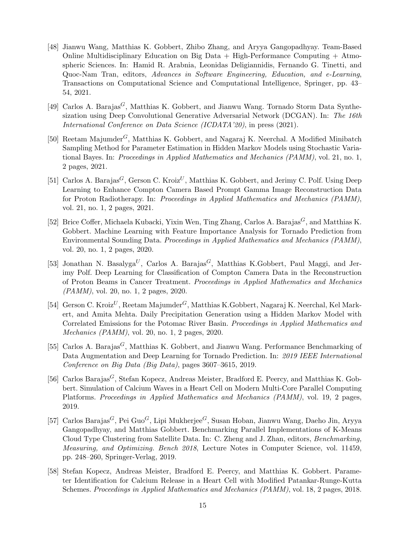- [48] Jianwu Wang, Matthias K. Gobbert, Zhibo Zhang, and Aryya Gangopadhyay. Team-Based Online Multidisciplinary Education on Big Data  $+$  High-Performance Computing  $+$  Atmospheric Sciences. In: Hamid R. Arabnia, Leonidas Deligiannidis, Fernando G. Tinetti, and Quoc-Nam Tran, editors, Advances in Software Engineering, Education, and e-Learning, Transactions on Computational Science and Computational Intelligence, Springer, pp. 43– 54, 2021.
- [49] Carlos A. Barajas<sup>G</sup>, Matthias K. Gobbert, and Jianwu Wang. Tornado Storm Data Synthesization using Deep Convolutional Generative Adversarial Network (DCGAN). In: The 16th International Conference on Data Science (ICDATA'20), in press (2021).
- [50] Reetam Majumder<sup>G</sup>, Matthias K. Gobbert, and Nagaraj K. Neerchal. A Modified Minibatch Sampling Method for Parameter Estimation in Hidden Markov Models using Stochastic Variational Bayes. In: Proceedings in Applied Mathematics and Mechanics (PAMM), vol. 21, no. 1, 2 pages, 2021.
- [51] Carlos A. Barajas<sup>G</sup>, Gerson C. Kroiz<sup>U</sup>, Matthias K. Gobbert, and Jerimy C. Polf. Using Deep Learning to Enhance Compton Camera Based Prompt Gamma Image Reconstruction Data for Proton Radiotherapy. In: Proceedings in Applied Mathematics and Mechanics (PAMM), vol. 21, no. 1, 2 pages, 2021.
- [52] Brice Coffer, Michaela Kubacki, Yixin Wen, Ting Zhang, Carlos A. Barajas<sup> $G$ </sup>, and Matthias K. Gobbert. Machine Learning with Feature Importance Analysis for Tornado Prediction from Environmental Sounding Data. Proceedings in Applied Mathematics and Mechanics (PAMM), vol. 20, no. 1, 2 pages, 2020.
- [53] Jonathan N. Basalyga<sup>U</sup>, Carlos A. Barajas<sup>G</sup>, Matthias K.Gobbert, Paul Maggi, and Jerimy Polf. Deep Learning for Classification of Compton Camera Data in the Reconstruction of Proton Beams in Cancer Treatment. Proceedings in Applied Mathematics and Mechanics (PAMM), vol. 20, no. 1, 2 pages, 2020.
- [54] Gerson C. Kroiz<sup>U</sup>, Reetam Majumder<sup>G</sup>, Matthias K.Gobbert, Nagaraj K. Neerchal, Kel Markert, and Amita Mehta. Daily Precipitation Generation using a Hidden Markov Model with Correlated Emissions for the Potomac River Basin. Proceedings in Applied Mathematics and Mechanics (PAMM), vol. 20, no. 1, 2 pages, 2020.
- [55] Carlos A. Barajas<sup>G</sup>, Matthias K. Gobbert, and Jianwu Wang. Performance Benchmarking of Data Augmentation and Deep Learning for Tornado Prediction. In: 2019 IEEE International Conference on Big Data (Big Data), pages 3607–3615, 2019.
- [56] Carlos Barajas<sup>G</sup>, Stefan Kopecz, Andreas Meister, Bradford E. Peercy, and Matthias K. Gobbert. Simulation of Calcium Waves in a Heart Cell on Modern Multi-Core Parallel Computing Platforms. Proceedings in Applied Mathematics and Mechanics (PAMM), vol. 19, 2 pages, 2019.
- $[57]$  Carlos Barajas $\sp{G},$  Pei $\rm Guo^G,$  Lipi Mukherjee $\sp{G},$  Susan Hoban, Jianwu Wang, Daeho Jin, Aryya Gangopadhyay, and Matthias Gobbert. Benchmarking Parallel Implementations of K-Means Cloud Type Clustering from Satellite Data. In: C. Zheng and J. Zhan, editors, Benchmarking, Measuring, and Optimizing. Bench 2018, Lecture Notes in Computer Science, vol. 11459, pp. 248–260, Springer-Verlag, 2019.
- [58] Stefan Kopecz, Andreas Meister, Bradford E. Peercy, and Matthias K. Gobbert. Parameter Identification for Calcium Release in a Heart Cell with Modified Patankar-Runge-Kutta Schemes. Proceedings in Applied Mathematics and Mechanics (PAMM), vol. 18, 2 pages, 2018.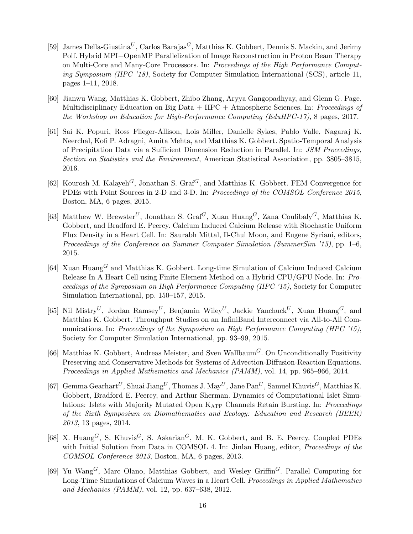- [59] James Della-Giustina<sup>U</sup>, Carlos Barajas<sup>G</sup>, Matthias K. Gobbert, Dennis S. Mackin, and Jerimy Polf. Hybrid MPI+OpenMP Parallelization of Image Reconstruction in Proton Beam Therapy on Multi-Core and Many-Core Processors. In: Proceedings of the High Performance Computing Symposium (HPC '18), Society for Computer Simulation International (SCS), article 11, pages 1–11, 2018.
- [60] Jianwu Wang, Matthias K. Gobbert, Zhibo Zhang, Aryya Gangopadhyay, and Glenn G. Page. Multidisciplinary Education on Big Data + HPC + Atmospheric Sciences. In: Proceedings of the Workshop on Education for High-Performance Computing (EduHPC-17), 8 pages, 2017.
- [61] Sai K. Popuri, Ross Flieger-Allison, Lois Miller, Danielle Sykes, Pablo Valle, Nagaraj K. Neerchal, Kofi P. Adragni, Amita Mehta, and Matthias K. Gobbert. Spatio-Temporal Analysis of Precipitation Data via a Sufficient Dimension Reduction in Parallel. In: JSM Proceedings, Section on Statistics and the Environment, American Statistical Association, pp. 3805–3815, 2016.
- [62] Kourosh M. Kalayeh<sup>G</sup>, Jonathan S. Graf<sup>G</sup>, and Matthias K. Gobbert. FEM Convergence for PDEs with Point Sources in 2-D and 3-D. In: Proceedings of the COMSOL Conference 2015, Boston, MA, 6 pages, 2015.
- [63] Matthew W. Brewster<sup>U</sup>, Jonathan S. Graf<sup>G</sup>, Xuan Huang<sup>G</sup>, Zana Coulibaly<sup>G</sup>, Matthias K. Gobbert, and Bradford E. Peercy. Calcium Induced Calcium Release with Stochastic Uniform Flux Density in a Heart Cell. In: Saurabh Mittal, Il-Chul Moon, and Eugene Syriani, editors, Proceedings of the Conference on Summer Computer Simulation (SummerSim '15), pp. 1–6, 2015.
- [64] Xuan Huang<sup>G</sup> and Matthias K. Gobbert. Long-time Simulation of Calcium Induced Calcium Release In A Heart Cell using Finite Element Method on a Hybrid CPU/GPU Node. In: Proceedings of the Symposium on High Performance Computing (HPC '15), Society for Computer Simulation International, pp. 150–157, 2015.
- [65] Nil Mistry<sup>U</sup>, Jordan Ramsey<sup>U</sup>, Benjamin Wiley<sup>U</sup>, Jackie Yanchuck<sup>U</sup>, Xuan Huang<sup>G</sup>, and Matthias K. Gobbert. Throughput Studies on an InfiniBand Interconnect via All-to-All Communications. In: Proceedings of the Symposium on High Performance Computing (HPC '15), Society for Computer Simulation International, pp. 93–99, 2015.
- [66] Matthias K. Gobbert, Andreas Meister, and Sven Wallbaum<sup>G</sup>. On Unconditionally Positivity Preserving and Conservative Methods for Systems of Advection-Diffusion-Reaction Equations. Proceedings in Applied Mathematics and Mechanics (PAMM), vol. 14, pp. 965–966, 2014.
- [67] Gemma Gearhart<sup>U</sup>, Shuai Jiang<sup>U</sup>, Thomas J. May<sup>U</sup>, Jane Pan<sup>U</sup>, Samuel Khuvis<sup>G</sup>, Matthias K. Gobbert, Bradford E. Peercy, and Arthur Sherman. Dynamics of Computational Islet Simulations: Islets with Majority Mutated Open K<sub>ATP</sub> Channels Retain Bursting. In: *Proceedings* of the Sixth Symposium on Biomathematics and Ecology: Education and Research (BEER) 2013, 13 pages, 2014.
- [68] X. Huang<sup>G</sup>, S. Khuvis<sup>G</sup>, S. Askarian<sup>G</sup>, M. K. Gobbert, and B. E. Peercy. Coupled PDEs with Initial Solution from Data in COMSOL 4. In: Jinlan Huang, editor, *Proceedings of the* COMSOL Conference 2013, Boston, MA, 6 pages, 2013.
- [69] Yu Wang<sup>G</sup>, Marc Olano, Matthias Gobbert, and Wesley Griffin<sup>G</sup>. Parallel Computing for Long-Time Simulations of Calcium Waves in a Heart Cell. Proceedings in Applied Mathematics and Mechanics (PAMM), vol. 12, pp. 637–638, 2012.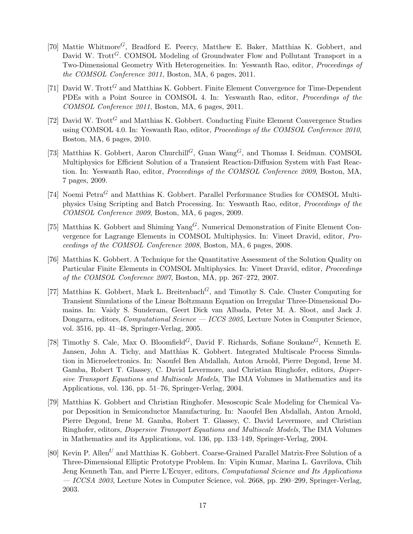- [70] Mattie Whitmore<sup>G</sup>, Bradford E. Peercy, Matthew E. Baker, Matthias K. Gobbert, and David W. Trott<sup>G</sup>. COMSOL Modeling of Groundwater Flow and Pollutant Transport in a Two-Dimensional Geometry With Heterogeneities. In: Yeswanth Rao, editor, Proceedings of the COMSOL Conference 2011, Boston, MA, 6 pages, 2011.
- [71] David W. Trott<sup>G</sup> and Matthias K. Gobbert. Finite Element Convergence for Time-Dependent PDEs with a Point Source in COMSOL 4. In: Yeswanth Rao, editor, Proceedings of the COMSOL Conference 2011, Boston, MA, 6 pages, 2011.
- [72] David W. Trott<sup>G</sup> and Matthias K. Gobbert. Conducting Finite Element Convergence Studies using COMSOL 4.0. In: Yeswanth Rao, editor, Proceedings of the COMSOL Conference 2010, Boston, MA, 6 pages, 2010.
- [73] Matthias K. Gobbert, Aaron Churchill<sup>G</sup>, Guan Wang<sup>G</sup>, and Thomas I. Seidman. COMSOL Multiphysics for Efficient Solution of a Transient Reaction-Diffusion System with Fast Reaction. In: Yeswanth Rao, editor, Proceedings of the COMSOL Conference 2009, Boston, MA, 7 pages, 2009.
- [74] Noemi  $Petra<sup>G</sup>$  and Matthias K. Gobbert. Parallel Performance Studies for COMSOL Multiphysics Using Scripting and Batch Processing. In: Yeswanth Rao, editor, Proceedings of the COMSOL Conference 2009, Boston, MA, 6 pages, 2009.
- [75] Matthias K. Gobbert and Shiming  $\text{Yang}^G$ . Numerical Demonstration of Finite Element Convergence for Lagrange Elements in COMSOL Multiphysics. In: Vineet Dravid, editor, Proceedings of the COMSOL Conference 2008, Boston, MA, 6 pages, 2008.
- [76] Matthias K. Gobbert. A Technique for the Quantitative Assessment of the Solution Quality on Particular Finite Elements in COMSOL Multiphysics. In: Vineet Dravid, editor, *Proceedings* of the COMSOL Conference 2007, Boston, MA, pp. 267–272, 2007.
- [77] Matthias K. Gobbert, Mark L. Breitenbach<sup> $G$ </sup>, and Timothy S. Cale. Cluster Computing for Transient Simulations of the Linear Boltzmann Equation on Irregular Three-Dimensional Domains. In: Vaidy S. Sunderam, Geert Dick van Albada, Peter M. A. Sloot, and Jack J. Dongarra, editors, *Computational Science* — *ICCS 2005*, Lecture Notes in Computer Science, vol. 3516, pp. 41–48, Springer-Verlag, 2005.
- [78] Timothy S. Cale, Max O. Bloomfield<sup>G</sup>, David F. Richards, Sofiane Soukane<sup>G</sup>, Kenneth E. Jansen, John A. Tichy, and Matthias K. Gobbert. Integrated Multiscale Process Simulation in Microelectronics. In: Naoufel Ben Abdallah, Anton Arnold, Pierre Degond, Irene M. Gamba, Robert T. Glassey, C. David Levermore, and Christian Ringhofer, editors, Dispersive Transport Equations and Multiscale Models, The IMA Volumes in Mathematics and its Applications, vol. 136, pp. 51–76, Springer-Verlag, 2004.
- [79] Matthias K. Gobbert and Christian Ringhofer. Mesoscopic Scale Modeling for Chemical Vapor Deposition in Semiconductor Manufacturing. In: Naoufel Ben Abdallah, Anton Arnold, Pierre Degond, Irene M. Gamba, Robert T. Glassey, C. David Levermore, and Christian Ringhofer, editors, Dispersive Transport Equations and Multiscale Models, The IMA Volumes in Mathematics and its Applications, vol. 136, pp. 133–149, Springer-Verlag, 2004.
- [80] Kevin P. Allen<sup>U</sup> and Matthias K. Gobbert. Coarse-Grained Parallel Matrix-Free Solution of a Three-Dimensional Elliptic Prototype Problem. In: Vipin Kumar, Marina L. Gavrilova, Chih Jeng Kenneth Tan, and Pierre L'Ecuyer, editors, Computational Science and Its Applications — ICCSA 2003, Lecture Notes in Computer Science, vol. 2668, pp. 290–299, Springer-Verlag, 2003.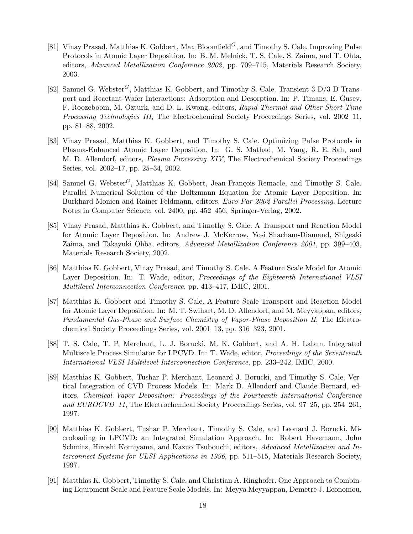- [81] Vinay Prasad, Matthias K. Gobbert, Max Bloomfield<sup>*G*</sup>, and Timothy S. Cale. Improving Pulse Protocols in Atomic Layer Deposition. In: B. M. Melnick, T. S. Cale, S. Zaima, and T. Ohta, editors, Advanced Metallization Conference 2002, pp. 709–715, Materials Research Society, 2003.
- [82] Samuel G. Webster<sup>G</sup>, Matthias K. Gobbert, and Timothy S. Cale. Transient 3-D/3-D Transport and Reactant-Wafer Interactions: Adsorption and Desorption. In: P. Timans, E. Gusev, F. Roozeboom, M. Ozturk, and D. L. Kwong, editors, Rapid Thermal and Other Short-Time Processing Technologies III, The Electrochemical Society Proceedings Series, vol. 2002–11, pp. 81–88, 2002.
- [83] Vinay Prasad, Matthias K. Gobbert, and Timothy S. Cale. Optimizing Pulse Protocols in Plasma-Enhanced Atomic Layer Deposition. In: G. S. Mathad, M. Yang, R. E. Sah, and M. D. Allendorf, editors, Plasma Processing XIV, The Electrochemical Society Proceedings Series, vol. 2002–17, pp. 25–34, 2002.
- [84] Samuel G. Webster<sup>G</sup>, Matthias K. Gobbert, Jean-François Remacle, and Timothy S. Cale. Parallel Numerical Solution of the Boltzmann Equation for Atomic Layer Deposition. In: Burkhard Monien and Rainer Feldmann, editors, Euro-Par 2002 Parallel Processing, Lecture Notes in Computer Science, vol. 2400, pp. 452–456, Springer-Verlag, 2002.
- [85] Vinay Prasad, Matthias K. Gobbert, and Timothy S. Cale. A Transport and Reaction Model for Atomic Layer Deposition. In: Andrew J. McKerrow, Yosi Shacham-Diamand, Shigeaki Zaima, and Takayuki Ohba, editors, Advanced Metallization Conference 2001, pp. 399–403, Materials Research Society, 2002.
- [86] Matthias K. Gobbert, Vinay Prasad, and Timothy S. Cale. A Feature Scale Model for Atomic Layer Deposition. In: T. Wade, editor, *Proceedings of the Eighteenth International VLSI* Multilevel Interconnection Conference, pp. 413–417, IMIC, 2001.
- [87] Matthias K. Gobbert and Timothy S. Cale. A Feature Scale Transport and Reaction Model for Atomic Layer Deposition. In: M. T. Swihart, M. D. Allendorf, and M. Meyyappan, editors, Fundamental Gas-Phase and Surface Chemistry of Vapor-Phase Deposition II, The Electrochemical Society Proceedings Series, vol. 2001–13, pp. 316–323, 2001.
- [88] T. S. Cale, T. P. Merchant, L. J. Borucki, M. K. Gobbert, and A. H. Labun. Integrated Multiscale Process Simulator for LPCVD. In: T. Wade, editor, Proceedings of the Seventeenth International VLSI Multilevel Interconnection Conference, pp. 233–242, IMIC, 2000.
- [89] Matthias K. Gobbert, Tushar P. Merchant, Leonard J. Borucki, and Timothy S. Cale. Vertical Integration of CVD Process Models. In: Mark D. Allendorf and Claude Bernard, editors, Chemical Vapor Deposition: Proceedings of the Fourteenth International Conference and EUROCVD–11, The Electrochemical Society Proceedings Series, vol. 97–25, pp. 254–261, 1997.
- [90] Matthias K. Gobbert, Tushar P. Merchant, Timothy S. Cale, and Leonard J. Borucki. Microloading in LPCVD: an Integrated Simulation Approach. In: Robert Havemann, John Schmitz, Hiroshi Komiyama, and Kazuo Tsubouchi, editors, Advanced Metallization and Interconnect Systems for ULSI Applications in 1996, pp. 511–515, Materials Research Society, 1997.
- [91] Matthias K. Gobbert, Timothy S. Cale, and Christian A. Ringhofer. One Approach to Combining Equipment Scale and Feature Scale Models. In: Meyya Meyyappan, Demetre J. Economou,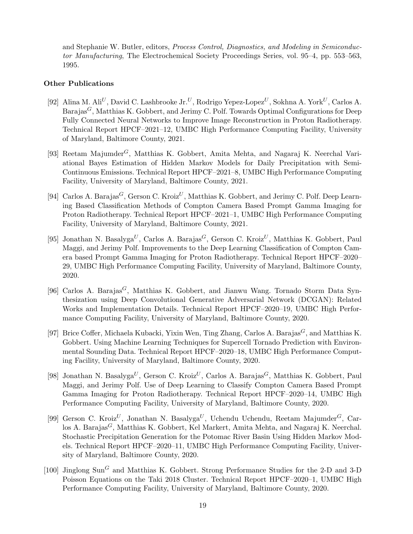and Stephanie W. Butler, editors, Process Control, Diagnostics, and Modeling in Semiconductor Manufacturing, The Electrochemical Society Proceedings Series, vol. 95–4, pp. 553–563, 1995.

### Other Publications

- [92] Alina M. Ali<sup>U</sup>, David C. Lashbrooke Jr.<sup>U</sup>, Rodrigo Yepez-Lopez<sup>U</sup>, Sokhna A. York<sup>U</sup>, Carlos A. Barajas<sup>G</sup>, Matthias K. Gobbert, and Jerimy C. Polf. Towards Optimal Configurations for Deep Fully Connected Neural Networks to Improve Image Reconstruction in Proton Radiotherapy. Technical Report HPCF–2021–12, UMBC High Performance Computing Facility, University of Maryland, Baltimore County, 2021.
- [93] Reetam Majumder<sup>G</sup>, Matthias K. Gobbert, Amita Mehta, and Nagaraj K. Neerchal Variational Bayes Estimation of Hidden Markov Models for Daily Precipitation with Semi-Continuous Emissions. Technical Report HPCF–2021–8, UMBC High Performance Computing Facility, University of Maryland, Baltimore County, 2021.
- [94] Carlos A. Barajas<sup>G</sup>, Gerson C. Kroiz<sup>U</sup>, Matthias K. Gobbert, and Jerimy C. Polf. Deep Learning Based Classification Methods of Compton Camera Based Prompt Gamma Imaging for Proton Radiotherapy. Technical Report HPCF–2021–1, UMBC High Performance Computing Facility, University of Maryland, Baltimore County, 2021.
- [95] Jonathan N. Basalyga<sup>U</sup>, Carlos A. Barajas<sup>G</sup>, Gerson C. Kroiz<sup>U</sup>, Matthias K. Gobbert, Paul Maggi, and Jerimy Polf. Improvements to the Deep Learning Classification of Compton Camera based Prompt Gamma Imaging for Proton Radiotherapy. Technical Report HPCF–2020– 29, UMBC High Performance Computing Facility, University of Maryland, Baltimore County, 2020.
- [96] Carlos A. Barajas<sup>G</sup>, Matthias K. Gobbert, and Jianwu Wang. Tornado Storm Data Synthesization using Deep Convolutional Generative Adversarial Network (DCGAN): Related Works and Implementation Details. Technical Report HPCF–2020–19, UMBC High Performance Computing Facility, University of Maryland, Baltimore County, 2020.
- [97] Brice Coffer, Michaela Kubacki, Yixin Wen, Ting Zhang, Carlos A. Barajas<sup> $G$ </sup>, and Matthias K. Gobbert. Using Machine Learning Techniques for Supercell Tornado Prediction with Environmental Sounding Data. Technical Report HPCF–2020–18, UMBC High Performance Computing Facility, University of Maryland, Baltimore County, 2020.
- [98] Jonathan N. Basalyga<sup>U</sup>, Gerson C. Kroiz<sup>U</sup>, Carlos A. Barajas<sup>G</sup>, Matthias K. Gobbert, Paul Maggi, and Jerimy Polf. Use of Deep Learning to Classify Compton Camera Based Prompt Gamma Imaging for Proton Radiotherapy. Technical Report HPCF–2020–14, UMBC High Performance Computing Facility, University of Maryland, Baltimore County, 2020.
- [99] Gerson C. Kroiz<sup>U</sup>, Jonathan N. Basalyga<sup>U</sup>, Uchendu Uchendu, Reetam Majumder<sup>G</sup>, Carlos A. Barajas<sup>G</sup>, Matthias K. Gobbert, Kel Markert, Amita Mehta, and Nagaraj K. Neerchal. Stochastic Precipitation Generation for the Potomac River Basin Using Hidden Markov Models. Technical Report HPCF–2020–11, UMBC High Performance Computing Facility, University of Maryland, Baltimore County, 2020.
- [100] Jinglong Sun<sup>G</sup> and Matthias K. Gobbert. Strong Performance Studies for the 2-D and 3-D Poisson Equations on the Taki 2018 Cluster. Technical Report HPCF–2020–1, UMBC High Performance Computing Facility, University of Maryland, Baltimore County, 2020.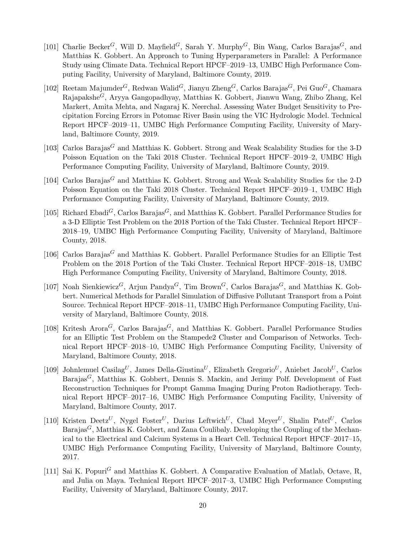- [101] Charlie Becker<sup>G</sup>, Will D. Mayfield<sup>G</sup>, Sarah Y. Murphy<sup>G</sup>, Bin Wang, Carlos Barajas<sup>G</sup>, and Matthias K. Gobbert. An Approach to Tuning Hyperparameters in Parallel: A Performance Study using Climate Data. Technical Report HPCF–2019–13, UMBC High Performance Computing Facility, University of Maryland, Baltimore County, 2019.
- [102] Reetam Majumder<sup>G</sup>, Redwan Walid<sup>G</sup>, Jianyu Zheng<sup>G</sup>, Carlos Barajas<sup>G</sup>, Pei Guo<sup>G</sup>, Chamara RajapaksheG, Aryya Gangopadhyay, Matthias K. Gobbert, Jianwu Wang, Zhibo Zhang, Kel Markert, Amita Mehta, and Nagaraj K. Neerchal. Assessing Water Budget Sensitivity to Precipitation Forcing Errors in Potomac River Basin using the VIC Hydrologic Model. Technical Report HPCF–2019–11, UMBC High Performance Computing Facility, University of Maryland, Baltimore County, 2019.
- [103] Carlos Barajas<sup>G</sup> and Matthias K. Gobbert. Strong and Weak Scalability Studies for the 3-D Poisson Equation on the Taki 2018 Cluster. Technical Report HPCF–2019–2, UMBC High Performance Computing Facility, University of Maryland, Baltimore County, 2019.
- [104] Carlos Barajas<sup>G</sup> and Matthias K. Gobbert. Strong and Weak Scalability Studies for the 2-D Poisson Equation on the Taki 2018 Cluster. Technical Report HPCF–2019–1, UMBC High Performance Computing Facility, University of Maryland, Baltimore County, 2019.
- [105] Richard Ebadi<sup>G</sup>, Carlos Barajas<sup>G</sup>, and Matthias K. Gobbert. Parallel Performance Studies for a 3-D Elliptic Test Problem on the 2018 Portion of the Taki Cluster. Technical Report HPCF– 2018–19, UMBC High Performance Computing Facility, University of Maryland, Baltimore County, 2018.
- [106] Carlos Barajas<sup>G</sup> and Matthias K. Gobbert. Parallel Performance Studies for an Elliptic Test Problem on the 2018 Portion of the Taki Cluster. Technical Report HPCF–2018–18, UMBC High Performance Computing Facility, University of Maryland, Baltimore County, 2018.
- [107] Noah Sienkiewicz<sup>G</sup>, Arjun Pandya<sup>G</sup>, Tim Brown<sup>G</sup>, Carlos Barajas<sup>G</sup>, and Matthias K. Gobbert. Numerical Methods for Parallel Simulation of Diffusive Pollutant Transport from a Point Source. Technical Report HPCF–2018–11, UMBC High Performance Computing Facility, University of Maryland, Baltimore County, 2018.
- [108] Kritesh Arora<sup>G</sup>, Carlos Barajas<sup>G</sup>, and Matthias K. Gobbert. Parallel Performance Studies for an Elliptic Test Problem on the Stampede2 Cluster and Comparison of Networks. Technical Report HPCF–2018–10, UMBC High Performance Computing Facility, University of Maryland, Baltimore County, 2018.
- [109] Johnlemuel Casilag<sup>U</sup>, James Della-Giustina<sup>U</sup>, Elizabeth Gregorio<sup>U</sup>, Aniebet Jacob<sup>U</sup>, Carlos Barajas<sup>G</sup>, Matthias K. Gobbert, Dennis S. Mackin, and Jerimy Polf. Development of Fast Reconstruction Techniques for Prompt Gamma Imaging During Proton Radiotherapy. Technical Report HPCF–2017–16, UMBC High Performance Computing Facility, University of Maryland, Baltimore County, 2017.
- [110] Kristen Deetz<sup>U</sup>, Nygel Foster<sup>U</sup>, Darius Leftwich<sup>U</sup>, Chad Meyer<sup>U</sup>, Shalin Patel<sup>U</sup>, Carlos Barajas<sup>G</sup>, Matthias K. Gobbert, and Zana Coulibaly. Developing the Coupling of the Mechanical to the Electrical and Calcium Systems in a Heart Cell. Technical Report HPCF–2017–15, UMBC High Performance Computing Facility, University of Maryland, Baltimore County, 2017.
- [111] Sai K. Popuri<sup>G</sup> and Matthias K. Gobbert. A Comparative Evaluation of Matlab, Octave, R, and Julia on Maya. Technical Report HPCF–2017–3, UMBC High Performance Computing Facility, University of Maryland, Baltimore County, 2017.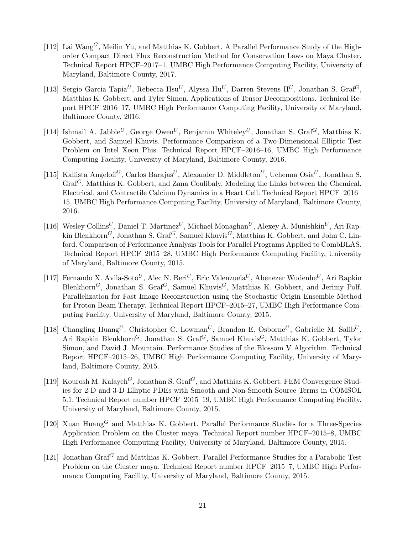- [112] Lai Wang<sup>G</sup>, Meilin Yu, and Matthias K. Gobbert. A Parallel Performance Study of the Highorder Compact Direct Flux Reconstruction Method for Conservation Laws on Maya Cluster. Technical Report HPCF–2017–1, UMBC High Performance Computing Facility, University of Maryland, Baltimore County, 2017.
- [113] Sergio Garcia Tapia<sup>U</sup>, Rebecca Hsu<sup>U</sup>, Alyssa Hu<sup>U</sup>, Darren Stevens II<sup>U</sup>, Jonathan S. Graf<sup>G</sup>, Matthias K. Gobbert, and Tyler Simon. Applications of Tensor Decompositions. Technical Report HPCF–2016–17, UMBC High Performance Computing Facility, University of Maryland, Baltimore County, 2016.
- [114] Ishmail A. Jabbie<sup>U</sup>, George Owen<sup>U</sup>, Benjamin Whiteley<sup>U</sup>, Jonathan S. Graf<sup>G</sup>, Matthias K. Gobbert, and Samuel Khuvis. Performance Comparison of a Two-Dimensional Elliptic Test Problem on Intel Xeon Phis. Technical Report HPCF–2016–16, UMBC High Performance Computing Facility, University of Maryland, Baltimore County, 2016.
- [115] Kallista Angeloff<sup>U</sup>, Carlos Barajas<sup>U</sup>, Alexander D. Middleton<sup>U</sup>, Uchenna Osia<sup>U</sup>, Jonathan S.  $Graf<sup>G</sup>$ , Matthias K. Gobbert, and Zana Coulibaly. Modeling the Links between the Chemical, Electrical, and Contractile Calcium Dynamics in a Heart Cell. Technical Report HPCF–2016– 15, UMBC High Performance Computing Facility, University of Maryland, Baltimore County, 2016.
- [116] Wesley Collins<sup>U</sup>, Daniel T. Martinez<sup>U</sup>, Michael Monaghan<sup>U</sup>, Alexey A. Munishkin<sup>U</sup>. Ari Rapkin Blenkhorn<sup>G</sup>, Jonathan S. Graf<sup>G</sup>, Samuel Khuvis<sup>G</sup>, Matthias K. Gobbert, and John C. Linford. Comparison of Performance Analysis Tools for Parallel Programs Applied to CombBLAS. Technical Report HPCF–2015–28, UMBC High Performance Computing Facility, University of Maryland, Baltimore County, 2015.
- [117] Fernando X. Avila-Soto $^U,$  Alec N. Beri $^U,$  Eric Valenzuela $^U,$  Abenezer Wudenhe $^U,$  Ari Rapkin Blenkhorn<sup>G</sup>, Jonathan S. Graf<sup>G</sup>, Samuel Khuvis<sup>G</sup>, Matthias K. Gobbert, and Jerimy Polf. Parallelization for Fast Image Reconstruction using the Stochastic Origin Ensemble Method for Proton Beam Therapy. Technical Report HPCF–2015–27, UMBC High Performance Computing Facility, University of Maryland, Baltimore County, 2015.
- [118] Changling Huang<sup>U</sup>, Christopher C. Lowman<sup>U</sup>, Brandon E. Osborne<sup>U</sup>, Gabrielle M. Salib<sup>U</sup>, Ari Rapkin Blenkhorn<sup>G</sup>, Jonathan S. Graf<sup>G</sup>, Samuel Khuvis<sup>G</sup>, Matthias K. Gobbert, Tylor Simon, and David J. Mountain. Performance Studies of the Blossom V Algorithm. Technical Report HPCF–2015–26, UMBC High Performance Computing Facility, University of Maryland, Baltimore County, 2015.
- [119] Kourosh M. Kalayeh<sup>G</sup>, Jonathan S. Graf<sup>G</sup>, and Matthias K. Gobbert. FEM Convergence Studies for 2-D and 3-D Elliptic PDEs with Smooth and Non-Smooth Source Terms in COMSOL 5.1. Technical Report number HPCF–2015–19, UMBC High Performance Computing Facility, University of Maryland, Baltimore County, 2015.
- [120] Xuan Huang<sup>G</sup> and Matthias K. Gobbert. Parallel Performance Studies for a Three-Species Application Problem on the Cluster maya. Technical Report number HPCF–2015–8, UMBC High Performance Computing Facility, University of Maryland, Baltimore County, 2015.
- [121] Jonathan Graf<sup>G</sup> and Matthias K. Gobbert. Parallel Performance Studies for a Parabolic Test Problem on the Cluster maya. Technical Report number HPCF–2015–7, UMBC High Performance Computing Facility, University of Maryland, Baltimore County, 2015.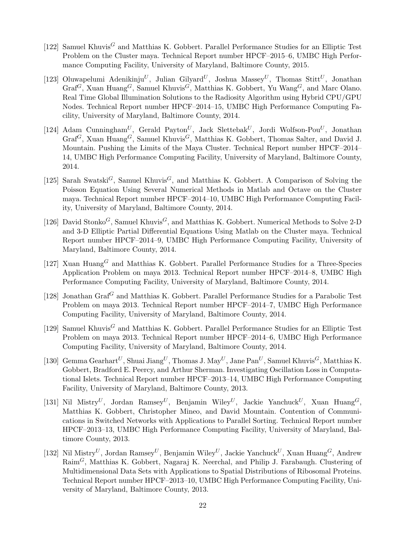- [122] Samuel Khuvis<sup>G</sup> and Matthias K. Gobbert. Parallel Performance Studies for an Elliptic Test Problem on the Cluster maya. Technical Report number HPCF–2015–6, UMBC High Performance Computing Facility, University of Maryland, Baltimore County, 2015.
- [123] Oluwapelumi Adenikinju<sup>U</sup>, Julian Gilyard<sup>U</sup>, Joshua Massey<sup>U</sup>, Thomas Stitt<sup>U</sup>, Jonathan  $Graf^G$ , Xuan Huang<sup>G</sup>, Samuel Khuvis<sup>G</sup>, Matthias K. Gobbert, Yu Wang<sup>G</sup>, and Marc Olano. Real Time Global Illumination Solutions to the Radiosity Algorithm using Hybrid CPU/GPU Nodes. Technical Report number HPCF–2014–15, UMBC High Performance Computing Facility, University of Maryland, Baltimore County, 2014.
- [124] Adam Cunningham<sup>U</sup>, Gerald Payton<sup>U</sup>, Jack Slettebak<sup>U</sup>, Jordi Wolfson-Pou<sup>U</sup>, Jonathan  $Graf^G$ , Xuan Huang<sup>G</sup>, Samuel Khuvis<sup>G</sup>, Matthias K. Gobbert, Thomas Salter, and David J. Mountain. Pushing the Limits of the Maya Cluster. Technical Report number HPCF–2014– 14, UMBC High Performance Computing Facility, University of Maryland, Baltimore County, 2014.
- [125] Sarah Swatski<sup>G</sup>, Samuel Khuvis<sup>G</sup>, and Matthias K. Gobbert. A Comparison of Solving the Poisson Equation Using Several Numerical Methods in Matlab and Octave on the Cluster maya. Technical Report number HPCF–2014–10, UMBC High Performance Computing Facility, University of Maryland, Baltimore County, 2014.
- [126] David Stonko<sup>G</sup>, Samuel Khuvis<sup>G</sup>, and Matthias K. Gobbert. Numerical Methods to Solve 2-D and 3-D Elliptic Partial Differential Equations Using Matlab on the Cluster maya. Technical Report number HPCF–2014–9, UMBC High Performance Computing Facility, University of Maryland, Baltimore County, 2014.
- [127] Xuan Huang<sup>G</sup> and Matthias K. Gobbert. Parallel Performance Studies for a Three-Species Application Problem on maya 2013. Technical Report number HPCF–2014–8, UMBC High Performance Computing Facility, University of Maryland, Baltimore County, 2014.
- [128] Jonathan Graf<sup>G</sup> and Matthias K. Gobbert. Parallel Performance Studies for a Parabolic Test Problem on maya 2013. Technical Report number HPCF–2014–7, UMBC High Performance Computing Facility, University of Maryland, Baltimore County, 2014.
- [129] Samuel Khuvis<sup>G</sup> and Matthias K. Gobbert. Parallel Performance Studies for an Elliptic Test Problem on maya 2013. Technical Report number HPCF–2014–6, UMBC High Performance Computing Facility, University of Maryland, Baltimore County, 2014.
- [130] Gemma Gearhart<sup>U</sup>, Shuai Jiang<sup>U</sup>, Thomas J. May<sup>U</sup>, Jane Pan<sup>U</sup>, Samuel Khuvis<sup>G</sup>, Matthias K. Gobbert, Bradford E. Peercy, and Arthur Sherman. Investigating Oscillation Loss in Computational Islets. Technical Report number HPCF–2013–14, UMBC High Performance Computing Facility, University of Maryland, Baltimore County, 2013.
- [131] Nil Mistry<sup>U</sup>, Jordan Ramsey<sup>U</sup>, Benjamin Wiley<sup>U</sup>, Jackie Yanchuck<sup>U</sup>, Xuan Huang<sup>G</sup>, Matthias K. Gobbert, Christopher Mineo, and David Mountain. Contention of Communications in Switched Networks with Applications to Parallel Sorting. Technical Report number HPCF–2013–13, UMBC High Performance Computing Facility, University of Maryland, Baltimore County, 2013.
- [132] Nil Mistry<sup>U</sup>, Jordan Ramsey<sup>U</sup>, Benjamin Wiley<sup>U</sup>, Jackie Yanchuck<sup>U</sup>, Xuan Huang<sup>G</sup>, Andrew  $\text{Raim}^G$ , Matthias K. Gobbert, Nagaraj K. Neerchal, and Philip J. Farabaugh. Clustering of Multidimensional Data Sets with Applications to Spatial Distributions of Ribosomal Proteins. Technical Report number HPCF–2013–10, UMBC High Performance Computing Facility, University of Maryland, Baltimore County, 2013.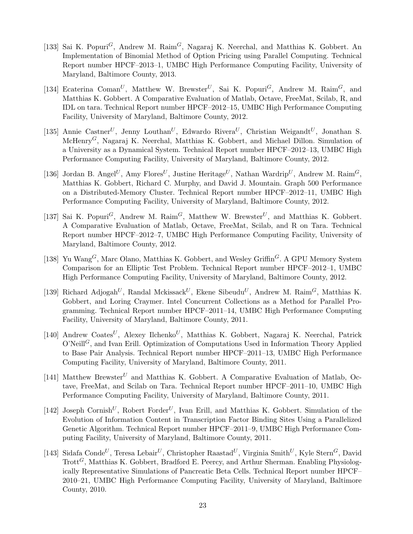- [133] Sai K. Popuri<sup>G</sup>, Andrew M. Raim<sup>G</sup>, Nagaraj K. Neerchal, and Matthias K. Gobbert. An Implementation of Binomial Method of Option Pricing using Parallel Computing. Technical Report number HPCF–2013–1, UMBC High Performance Computing Facility, University of Maryland, Baltimore County, 2013.
- [134] Ecaterina Coman<sup>U</sup>, Matthew W. Brewster<sup>U</sup>, Sai K. Popuri<sup>G</sup>, Andrew M. Raim<sup>G</sup>, and Matthias K. Gobbert. A Comparative Evaluation of Matlab, Octave, FreeMat, Scilab, R, and IDL on tara. Technical Report number HPCF–2012–15, UMBC High Performance Computing Facility, University of Maryland, Baltimore County, 2012.
- [135] Annie Castner<sup>U</sup>, Jenny Louthan<sup>U</sup>, Edwardo Rivera<sup>U</sup>, Christian Weigandt<sup>U</sup>, Jonathan S. McHenryG, Nagaraj K. Neerchal, Matthias K. Gobbert, and Michael Dillon. Simulation of a University as a Dynamical System. Technical Report number HPCF–2012–13, UMBC High Performance Computing Facility, University of Maryland, Baltimore County, 2012.
- [136] Jordan B. Angel<sup>U</sup>, Amy Flores<sup>U</sup>, Justine Heritage<sup>U</sup>, Nathan Wardrip<sup>U</sup>, Andrew M. Raim<sup>G</sup>, Matthias K. Gobbert, Richard C. Murphy, and David J. Mountain. Graph 500 Performance on a Distributed-Memory Cluster. Technical Report number HPCF–2012–11, UMBC High Performance Computing Facility, University of Maryland, Baltimore County, 2012.
- [137] Sai K. Popuri<sup>G</sup>, Andrew M. Raim<sup>G</sup>, Matthew W. Brewster<sup>U</sup>, and Matthias K. Gobbert. A Comparative Evaluation of Matlab, Octave, FreeMat, Scilab, and R on Tara. Technical Report number HPCF–2012–7, UMBC High Performance Computing Facility, University of Maryland, Baltimore County, 2012.
- [138] Yu Wang<sup>G</sup>, Marc Olano, Matthias K. Gobbert, and Wesley Griffin<sup>G</sup>. A GPU Memory System Comparison for an Elliptic Test Problem. Technical Report number HPCF–2012–1, UMBC High Performance Computing Facility, University of Maryland, Baltimore County, 2012.
- [139] Richard Adjogah<sup>U</sup>, Randal Mckissack<sup>U</sup>, Ekene Sibeudu<sup>U</sup>, Andrew M. Raim<sup>G</sup>, Matthias K. Gobbert, and Loring Craymer. Intel Concurrent Collections as a Method for Parallel Programming. Technical Report number HPCF–2011–14, UMBC High Performance Computing Facility, University of Maryland, Baltimore County, 2011.
- [140] Andrew Coates<sup>U</sup>, Alexey Ilchenko<sup>U</sup>, Matthias K. Gobbert, Nagaraj K. Neerchal, Patrick  $O'Neill<sup>G</sup>$ , and Ivan Erill. Optimization of Computations Used in Information Theory Applied to Base Pair Analysis. Technical Report number HPCF–2011–13, UMBC High Performance Computing Facility, University of Maryland, Baltimore County, 2011.
- [141] Matthew Brewster<sup>U</sup> and Matthias K. Gobbert. A Comparative Evaluation of Matlab, Octave, FreeMat, and Scilab on Tara. Technical Report number HPCF–2011–10, UMBC High Performance Computing Facility, University of Maryland, Baltimore County, 2011.
- [142] Joseph Cornish<sup>U</sup>, Robert Forder<sup>U</sup>, Ivan Erill, and Matthias K. Gobbert. Simulation of the Evolution of Information Content in Transcription Factor Binding Sites Using a Parallelized Genetic Algorithm. Technical Report number HPCF–2011–9, UMBC High Performance Computing Facility, University of Maryland, Baltimore County, 2011.
- [143] Sidafa Conde<sup>U</sup>, Teresa Lebair<sup>U</sup>, Christopher Raastad<sup>U</sup>, Virginia Smith<sup>U</sup>, Kyle Stern<sup>G</sup>, David  $Trot<sup>G</sup>$ , Matthias K. Gobbert, Bradford E. Peercy, and Arthur Sherman. Enabling Physiologically Representative Simulations of Pancreatic Beta Cells. Technical Report number HPCF– 2010–21, UMBC High Performance Computing Facility, University of Maryland, Baltimore County, 2010.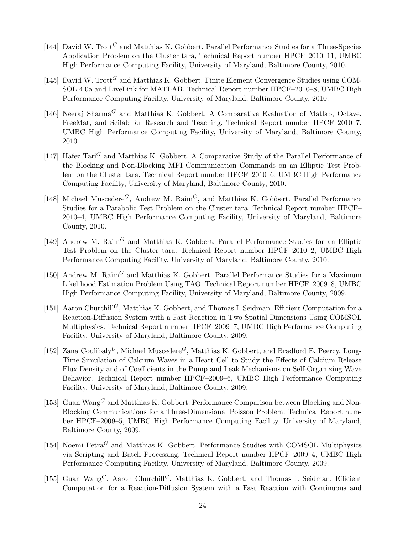- [144] David W. Trott<sup>G</sup> and Matthias K. Gobbert. Parallel Performance Studies for a Three-Species Application Problem on the Cluster tara, Technical Report number HPCF–2010–11, UMBC High Performance Computing Facility, University of Maryland, Baltimore County, 2010.
- [145] David W. Trott<sup>G</sup> and Matthias K. Gobbert. Finite Element Convergence Studies using COM-SOL 4.0a and LiveLink for MATLAB. Technical Report number HPCF–2010–8, UMBC High Performance Computing Facility, University of Maryland, Baltimore County, 2010.
- [146] Neeraj Sharma<sup>G</sup> and Matthias K. Gobbert. A Comparative Evaluation of Matlab, Octave, FreeMat, and Scilab for Research and Teaching. Technical Report number HPCF–2010–7, UMBC High Performance Computing Facility, University of Maryland, Baltimore County, 2010.
- [147] Hafez  $\text{Tari}^G$  and Matthias K. Gobbert. A Comparative Study of the Parallel Performance of the Blocking and Non-Blocking MPI Communication Commands on an Elliptic Test Problem on the Cluster tara. Technical Report number HPCF–2010–6, UMBC High Performance Computing Facility, University of Maryland, Baltimore County, 2010.
- [148] Michael Muscedere<sup>G</sup>, Andrew M. Raim<sup>G</sup>, and Matthias K. Gobbert. Parallel Performance Studies for a Parabolic Test Problem on the Cluster tara. Technical Report number HPCF– 2010–4, UMBC High Performance Computing Facility, University of Maryland, Baltimore County, 2010.
- [149] Andrew M.  $\text{Rain}^G$  and Matthias K. Gobbert. Parallel Performance Studies for an Elliptic Test Problem on the Cluster tara. Technical Report number HPCF–2010–2, UMBC High Performance Computing Facility, University of Maryland, Baltimore County, 2010.
- [150] Andrew M.  $\text{Rain}^G$  and Matthias K. Gobbert. Parallel Performance Studies for a Maximum Likelihood Estimation Problem Using TAO. Technical Report number HPCF–2009–8, UMBC High Performance Computing Facility, University of Maryland, Baltimore County, 2009.
- [151] Aaron Churchill<sup>G</sup>, Matthias K. Gobbert, and Thomas I. Seidman. Efficient Computation for a Reaction-Diffusion System with a Fast Reaction in Two Spatial Dimensions Using COMSOL Multiphysics. Technical Report number HPCF–2009–7, UMBC High Performance Computing Facility, University of Maryland, Baltimore County, 2009.
- [152] Zana Coulibaly<sup>U</sup>, Michael Muscedere<sup>G</sup>, Matthias K. Gobbert, and Bradford E. Peercy. Long-Time Simulation of Calcium Waves in a Heart Cell to Study the Effects of Calcium Release Flux Density and of Coefficients in the Pump and Leak Mechanisms on Self-Organizing Wave Behavior. Technical Report number HPCF–2009–6, UMBC High Performance Computing Facility, University of Maryland, Baltimore County, 2009.
- [153] Guan Wang<sup>G</sup> and Matthias K. Gobbert. Performance Comparison between Blocking and Non-Blocking Communications for a Three-Dimensional Poisson Problem. Technical Report number HPCF–2009–5, UMBC High Performance Computing Facility, University of Maryland, Baltimore County, 2009.
- [154] Noemi  $Petra<sup>G</sup>$  and Matthias K. Gobbert. Performance Studies with COMSOL Multiphysics via Scripting and Batch Processing. Technical Report number HPCF–2009–4, UMBC High Performance Computing Facility, University of Maryland, Baltimore County, 2009.
- [155] Guan Wang<sup>G</sup>, Aaron Churchill<sup>G</sup>, Matthias K. Gobbert, and Thomas I. Seidman. Efficient Computation for a Reaction-Diffusion System with a Fast Reaction with Continuous and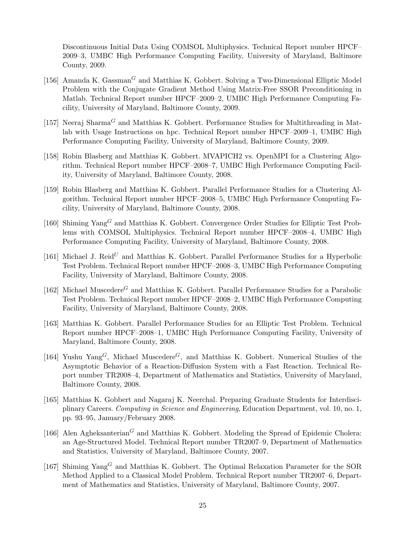Discontinuous Initial Data Using COMSOL Multiphysics. Technical Report number HPCF– 2009–3, UMBC High Performance Computing Facility, University of Maryland, Baltimore County, 2009.

- [156] Amanda K. Gassman<sup>G</sup> and Matthias K. Gobbert. Solving a Two-Dimensional Elliptic Model Problem with the Conjugate Gradient Method Using Matrix-Free SSOR Preconditioning in Matlab. Technical Report number HPCF–2009–2, UMBC High Performance Computing Facility, University of Maryland, Baltimore County, 2009.
- [157] Neeraj Sharma<sup>G</sup> and Matthias K. Gobbert. Performance Studies for Multithreading in Matlab with Usage Instructions on hpc. Technical Report number HPCF–2009–1, UMBC High Performance Computing Facility, University of Maryland, Baltimore County, 2009.
- [158] Robin Blasberg and Matthias K. Gobbert. MVAPICH2 vs. OpenMPI for a Clustering Algorithm. Technical Report number HPCF–2008–7, UMBC High Performance Computing Facility, University of Maryland, Baltimore County, 2008.
- [159] Robin Blasberg and Matthias K. Gobbert. Parallel Performance Studies for a Clustering Algorithm. Technical Report number HPCF–2008–5, UMBC High Performance Computing Facility, University of Maryland, Baltimore County, 2008.
- [160] Shiming  $\text{Yang}^G$  and Matthias K. Gobbert. Convergence Order Studies for Elliptic Test Problems with COMSOL Multiphysics. Technical Report number HPCF–2008–4, UMBC High Performance Computing Facility, University of Maryland, Baltimore County, 2008.
- [161] Michael J. Reid<sup>U</sup> and Matthias K. Gobbert. Parallel Performance Studies for a Hyperbolic Test Problem. Technical Report number HPCF–2008–3, UMBC High Performance Computing Facility, University of Maryland, Baltimore County, 2008.
- [162] Michael Muscedere<sup>G</sup> and Matthias K. Gobbert. Parallel Performance Studies for a Parabolic Test Problem. Technical Report number HPCF–2008–2, UMBC High Performance Computing Facility, University of Maryland, Baltimore County, 2008.
- [163] Matthias K. Gobbert. Parallel Performance Studies for an Elliptic Test Problem. Technical Report number HPCF–2008–1, UMBC High Performance Computing Facility, University of Maryland, Baltimore County, 2008.
- [164] Yushu Yang<sup>G</sup>, Michael Muscedere<sup>G</sup>, and Matthias K. Gobbert. Numerical Studies of the Asymptotic Behavior of a Reaction-Diffusion System with a Fast Reaction. Technical Report number TR2008–4, Department of Mathematics and Statistics, University of Maryland, Baltimore County, 2008.
- [165] Matthias K. Gobbert and Nagaraj K. Neerchal. Preparing Graduate Students for Interdisciplinary Careers. Computing in Science and Engineering, Education Department, vol. 10, no. 1, pp. 93–95, January/February 2008.
- [166] Alen Agheksanterian<sup>G</sup> and Matthias K. Gobbert. Modeling the Spread of Epidemic Cholera: an Age-Structured Model. Technical Report number TR2007–9, Department of Mathematics and Statistics, University of Maryland, Baltimore County, 2007.
- [167] Shiming Yang<sup>G</sup> and Matthias K. Gobbert. The Optimal Relaxation Parameter for the SOR Method Applied to a Classical Model Problem. Technical Report number TR2007–6, Department of Mathematics and Statistics, University of Maryland, Baltimore County, 2007.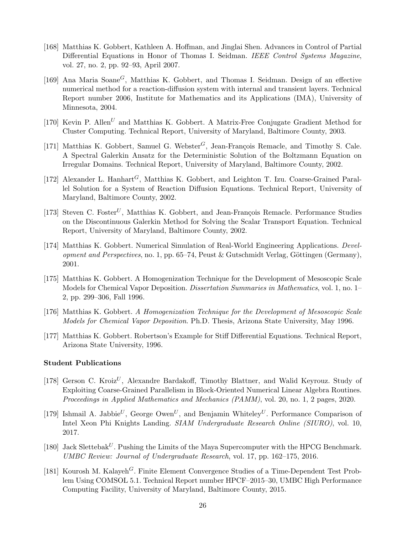- [168] Matthias K. Gobbert, Kathleen A. Hoffman, and Jinglai Shen. Advances in Control of Partial Differential Equations in Honor of Thomas I. Seidman. IEEE Control Systems Magazine, vol. 27, no. 2, pp. 92–93, April 2007.
- [169] Ana Maria Soane<sup>G</sup>, Matthias K. Gobbert, and Thomas I. Seidman. Design of an effective numerical method for a reaction-diffusion system with internal and transient layers. Technical Report number 2006, Institute for Mathematics and its Applications (IMA), University of Minnesota, 2004.
- [170] Kevin P. Allen<sup>U</sup> and Matthias K. Gobbert. A Matrix-Free Conjugate Gradient Method for Cluster Computing. Technical Report, University of Maryland, Baltimore County, 2003.
- [171] Matthias K. Gobbert, Samuel G. Webster<sup>G</sup>, Jean-François Remacle, and Timothy S. Cale. A Spectral Galerkin Ansatz for the Deterministic Solution of the Boltzmann Equation on Irregular Domains. Technical Report, University of Maryland, Baltimore County, 2002.
- [172] Alexander L. Hanhart<sup>G</sup>, Matthias K. Gobbert, and Leighton T. Izu. Coarse-Grained Parallel Solution for a System of Reaction Diffusion Equations. Technical Report, University of Maryland, Baltimore County, 2002.
- [173] Steven C. Foster<sup>U</sup>, Matthias K. Gobbert, and Jean-François Remacle. Performance Studies on the Discontinuous Galerkin Method for Solving the Scalar Transport Equation. Technical Report, University of Maryland, Baltimore County, 2002.
- [174] Matthias K. Gobbert. Numerical Simulation of Real-World Engineering Applications. Development and Perspectives, no. 1, pp. 65–74, Peust & Gutschmidt Verlag, Göttingen (Germany), 2001.
- [175] Matthias K. Gobbert. A Homogenization Technique for the Development of Mesoscopic Scale Models for Chemical Vapor Deposition. Dissertation Summaries in Mathematics, vol. 1, no. 1– 2, pp. 299–306, Fall 1996.
- [176] Matthias K. Gobbert. A Homogenization Technique for the Development of Mesoscopic Scale Models for Chemical Vapor Deposition. Ph.D. Thesis, Arizona State University, May 1996.
- [177] Matthias K. Gobbert. Robertson's Example for Stiff Differential Equations. Technical Report, Arizona State University, 1996.

#### Student Publications

- [178] Gerson C. Kroiz<sup>U</sup>, Alexandre Bardakoff, Timothy Blattner, and Walid Keyrouz. Study of Exploiting Coarse-Grained Parallelism in Block-Oriented Numerical Linear Algebra Routines. Proceedings in Applied Mathematics and Mechanics (PAMM), vol. 20, no. 1, 2 pages, 2020.
- [179] Ishmail A. Jabbie<sup>U</sup>, George Owen<sup>U</sup>, and Benjamin Whiteley<sup>U</sup>. Performance Comparison of Intel Xeon Phi Knights Landing. SIAM Undergraduate Research Online (SIURO), vol. 10, 2017.
- [180] Jack Slettebak<sup>U</sup>. Pushing the Limits of the Maya Supercomputer with the HPCG Benchmark. UMBC Review: Journal of Undergraduate Research, vol. 17, pp. 162–175, 2016.
- [181] Kourosh M. Kalayeh<sup>G</sup>. Finite Element Convergence Studies of a Time-Dependent Test Problem Using COMSOL 5.1. Technical Report number HPCF–2015–30, UMBC High Performance Computing Facility, University of Maryland, Baltimore County, 2015.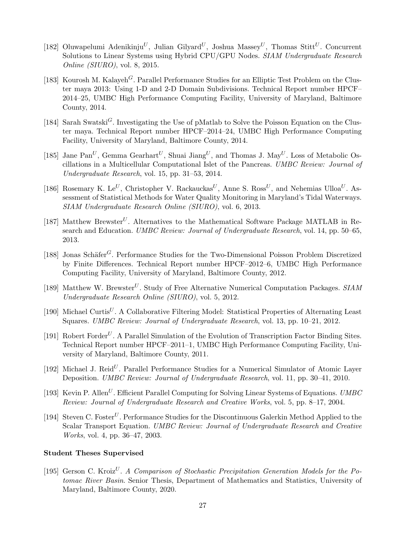- [182] Oluwapelumi Adenikinju<sup>U</sup>, Julian Gilyard<sup>U</sup>, Joshua Massey<sup>U</sup>, Thomas Stitt<sup>U</sup>. Concurrent Solutions to Linear Systems using Hybrid CPU/GPU Nodes. SIAM Undergraduate Research Online (SIURO), vol. 8, 2015.
- [183] Kourosh M. Kalayeh<sup>G</sup>. Parallel Performance Studies for an Elliptic Test Problem on the Cluster maya 2013: Using 1-D and 2-D Domain Subdivisions. Technical Report number HPCF– 2014–25, UMBC High Performance Computing Facility, University of Maryland, Baltimore County, 2014.
- [184] Sarah Swatski<sup>G</sup>. Investigating the Use of pMatlab to Solve the Poisson Equation on the Cluster maya. Technical Report number HPCF–2014–24, UMBC High Performance Computing Facility, University of Maryland, Baltimore County, 2014.
- [185] Jane Pan<sup>U</sup>, Gemma Gearhart<sup>U</sup>, Shuai Jiang<sup>U</sup>, and Thomas J. May<sup>U</sup>. Loss of Metabolic Oscillations in a Multicellular Computational Islet of the Pancreas. UMBC Review: Journal of Undergraduate Research, vol. 15, pp. 31–53, 2014.
- [186] Rosemary K. Le<sup>U</sup>, Christopher V. Rackauckas<sup>U</sup>, Anne S. Ross<sup>U</sup>, and Nehemias Ulloa<sup>U</sup>. Assessment of Statistical Methods for Water Quality Monitoring in Maryland's Tidal Waterways. SIAM Undergraduate Research Online (SIURO), vol. 6, 2013.
- [187] Matthew Brewster<sup>U</sup>. Alternatives to the Mathematical Software Package MATLAB in Research and Education. UMBC Review: Journal of Undergraduate Research, vol. 14, pp. 50–65, 2013.
- [188] Jonas Schäfer<sup>G</sup>. Performance Studies for the Two-Dimensional Poisson Problem Discretized by Finite Differences. Technical Report number HPCF–2012–6, UMBC High Performance Computing Facility, University of Maryland, Baltimore County, 2012.
- [189] Matthew W. Brewster<sup>U</sup>. Study of Free Alternative Numerical Computation Packages.  $SIAM$ Undergraduate Research Online (SIURO), vol. 5, 2012.
- [190] Michael Curtis<sup>U</sup>. A Collaborative Filtering Model: Statistical Properties of Alternating Least Squares. UMBC Review: Journal of Undergraduate Research, vol. 13, pp. 10–21, 2012.
- [191] Robert Forder<sup>U</sup>. A Parallel Simulation of the Evolution of Transcription Factor Binding Sites. Technical Report number HPCF–2011–1, UMBC High Performance Computing Facility, University of Maryland, Baltimore County, 2011.
- [192] Michael J. Reid<sup>U</sup>. Parallel Performance Studies for a Numerical Simulator of Atomic Layer Deposition. UMBC Review: Journal of Undergraduate Research, vol. 11, pp. 30–41, 2010.
- [193] Kevin P. Allen<sup>U</sup>. Efficient Parallel Computing for Solving Linear Systems of Equations. UMBC Review: Journal of Undergraduate Research and Creative Works, vol. 5, pp. 8–17, 2004.
- [194] Steven C. Foster<sup>U</sup>. Performance Studies for the Discontinuous Galerkin Method Applied to the Scalar Transport Equation. UMBC Review: Journal of Undergraduate Research and Creative Works, vol. 4, pp. 36–47, 2003.

### Student Theses Supervised

[195] Gerson C. Kroiz<sup>U</sup>. A Comparison of Stochastic Precipitation Generation Models for the Potomac River Basin. Senior Thesis, Department of Mathematics and Statistics, University of Maryland, Baltimore County, 2020.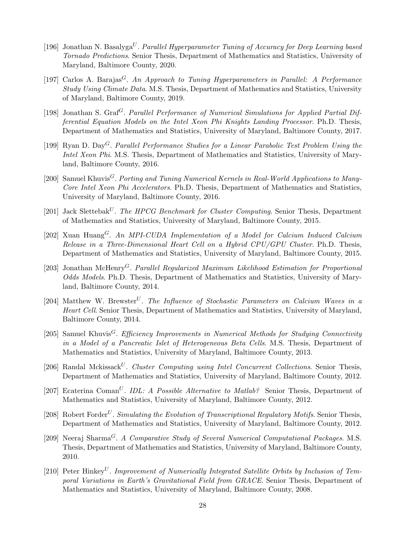- [196] Jonathan N. Basalyga<sup>U</sup>. Parallel Hyperparameter Tuning of Accuracy for Deep Learning based Tornado Predictions. Senior Thesis, Department of Mathematics and Statistics, University of Maryland, Baltimore County, 2020.
- [197] Carlos A. Barajas<sup>G</sup>. An Approach to Tuning Hyperparameters in Parallel: A Performance Study Using Climate Data. M.S. Thesis, Department of Mathematics and Statistics, University of Maryland, Baltimore County, 2019.
- [198] Jonathan S. Graf<sup>G</sup>. Parallel Performance of Numerical Simulations for Applied Partial Differential Equation Models on the Intel Xeon Phi Knights Landing Processor. Ph.D. Thesis, Department of Mathematics and Statistics, University of Maryland, Baltimore County, 2017.
- [199] Ryan D. Day<sup>G</sup>. Parallel Performance Studies for a Linear Parabolic Test Problem Using the Intel Xeon Phi. M.S. Thesis, Department of Mathematics and Statistics, University of Maryland, Baltimore County, 2016.
- [200] Samuel Khuvis<sup>G</sup>. Porting and Tuning Numerical Kernels in Real-World Applications to Many-Core Intel Xeon Phi Accelerators. Ph.D. Thesis, Department of Mathematics and Statistics, University of Maryland, Baltimore County, 2016.
- [201] Jack Slettebak<sup>U</sup>. The HPCG Benchmark for Cluster Computing. Senior Thesis, Department of Mathematics and Statistics, University of Maryland, Baltimore County, 2015.
- [202] Xuan Huang<sup>G</sup>. An MPI-CUDA Implementation of a Model for Calcium Induced Calcium Release in a Three-Dimensional Heart Cell on a Hybrid CPU/GPU Cluster. Ph.D. Thesis, Department of Mathematics and Statistics, University of Maryland, Baltimore County, 2015.
- [203] Jonathan McHenry<sup>G</sup>. Parallel Regularized Maximum Likelihood Estimation for Proportional Odds Models. Ph.D. Thesis, Department of Mathematics and Statistics, University of Maryland, Baltimore County, 2014.
- [204] Matthew W. Brewster<sup>U</sup>. The Influence of Stochastic Parameters on Calcium Waves in a Heart Cell. Senior Thesis, Department of Mathematics and Statistics, University of Maryland, Baltimore County, 2014.
- [205] Samuel Khuvis<sup>G</sup>. Efficiency Improvements in Numerical Methods for Studying Connectivity in a Model of a Pancreatic Islet of Heterogeneous Beta Cells. M.S. Thesis, Department of Mathematics and Statistics, University of Maryland, Baltimore County, 2013.
- [206] Randal Mckissack<sup>U</sup>. Cluster Computing using Intel Concurrent Collections. Senior Thesis, Department of Mathematics and Statistics, University of Maryland, Baltimore County, 2012.
- [207] Ecaterina Coman<sup>U</sup>. *IDL: A Possible Alternative to Matlab?* Senior Thesis, Department of Mathematics and Statistics, University of Maryland, Baltimore County, 2012.
- [208] Robert Forder<sup>U</sup>. Simulating the Evolution of Transcriptional Regulatory Motifs. Senior Thesis, Department of Mathematics and Statistics, University of Maryland, Baltimore County, 2012.
- [209] Neeraj Sharma<sup>G</sup>. A Comparative Study of Several Numerical Computational Packages. M.S. Thesis, Department of Mathematics and Statistics, University of Maryland, Baltimore County, 2010.
- [210] Peter Hinkey<sup>U</sup>. Improvement of Numerically Integrated Satellite Orbits by Inclusion of Temporal Variations in Earth's Gravitational Field from GRACE. Senior Thesis, Department of Mathematics and Statistics, University of Maryland, Baltimore County, 2008.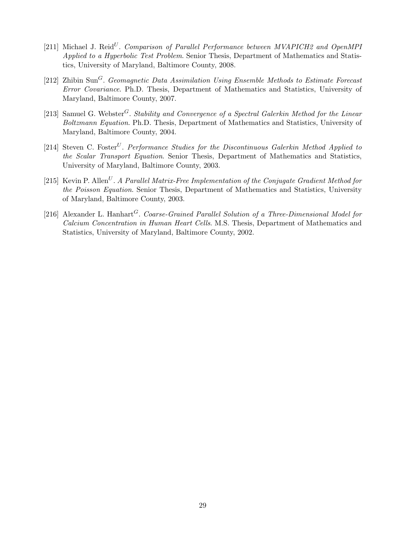- [211] Michael J. Reid<sup>U</sup>. Comparison of Parallel Performance between MVAPICH2 and OpenMPI Applied to a Hyperbolic Test Problem. Senior Thesis, Department of Mathematics and Statistics, University of Maryland, Baltimore County, 2008.
- [212] Zhibin Sun<sup>G</sup>. Geomagnetic Data Assimilation Using Ensemble Methods to Estimate Forecast Error Covariance. Ph.D. Thesis, Department of Mathematics and Statistics, University of Maryland, Baltimore County, 2007.
- [213] Samuel G. Webster<sup>G</sup>. Stability and Convergence of a Spectral Galerkin Method for the Linear Boltzmann Equation. Ph.D. Thesis, Department of Mathematics and Statistics, University of Maryland, Baltimore County, 2004.
- [214] Steven C. Foster<sup>U</sup>. Performance Studies for the Discontinuous Galerkin Method Applied to the Scalar Transport Equation. Senior Thesis, Department of Mathematics and Statistics, University of Maryland, Baltimore County, 2003.
- [215] Kevin P. Allen<sup>U</sup>. A Parallel Matrix-Free Implementation of the Conjugate Gradient Method for the Poisson Equation. Senior Thesis, Department of Mathematics and Statistics, University of Maryland, Baltimore County, 2003.
- [216] Alexander L. Hanhart<sup>G</sup>. Coarse-Grained Parallel Solution of a Three-Dimensional Model for Calcium Concentration in Human Heart Cells. M.S. Thesis, Department of Mathematics and Statistics, University of Maryland, Baltimore County, 2002.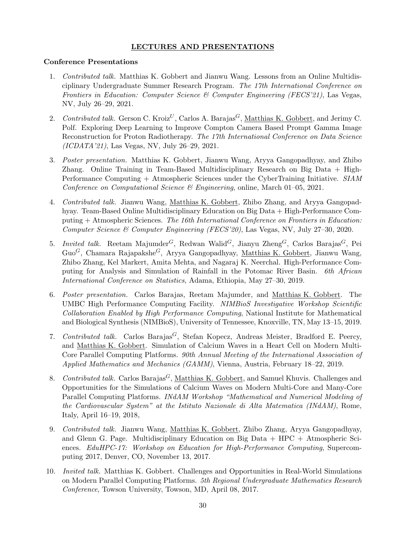## LECTURES AND PRESENTATIONS

## Conference Presentations

- 1. Contributed talk. Matthias K. Gobbert and Jianwu Wang. Lessons from an Online Multidisciplinary Undergraduate Summer Research Program. The 17th International Conference on Frontiers in Education: Computer Science & Computer Engineering (FECS'21), Las Vegas, NV, July 26–29, 2021.
- 2. Contributed talk. Gerson C. Kroiz<sup>U</sup>, Carlos A. Barajas<sup>G</sup>, Matthias K. Gobbert, and Jerimy C. Polf. Exploring Deep Learning to Improve Compton Camera Based Prompt Gamma Image Reconstruction for Proton Radiotherapy. The 17th International Conference on Data Science (ICDATA'21), Las Vegas, NV, July 26–29, 2021.
- 3. Poster presentation. Matthias K. Gobbert, Jianwu Wang, Aryya Gangopadhyay, and Zhibo Zhang. Online Training in Team-Based Multidisciplinary Research on Big Data + High-Performance Computing + Atmospheric Sciences under the CyberTraining Initiative. SIAM Conference on Computational Science & Engineering, online, March 01–05, 2021.
- 4. Contributed talk. Jianwu Wang, Matthias K. Gobbert, Zhibo Zhang, and Aryya Gangopadhyay. Team-Based Online Multidisciplinary Education on Big Data + High-Performance Computing + Atmospheric Sciences. The 16th International Conference on Frontiers in Education: Computer Science & Computer Engineering (FECS'20), Las Vegas, NV, July 27–30, 2020.
- 5. Invited talk. Reetam Majumder<sup>G</sup>, Redwan Walid<sup>G</sup>, Jianyu Zheng<sup>G</sup>, Carlos Barajas<sup>G</sup>, Pei Guo<sup>G</sup>, Chamara Rajapakshe<sup>G</sup>, Aryya Gangopadhyay, Matthias K. Gobbert, Jianwu Wang, Zhibo Zhang, Kel Markert, Amita Mehta, and Nagaraj K. Neerchal. High-Performance Computing for Analysis and Simulation of Rainfall in the Potomac River Basin. 6th African International Conference on Statistics, Adama, Ethiopia, May 27–30, 2019.
- 6. Poster presentation. Carlos Barajas, Reetam Majumder, and Matthias K. Gobbert. The UMBC High Performance Computing Facility. NIMBioS Investigative Workshop Scientific Collaboration Enabled by High Performance Computing, National Institute for Mathematical and Biological Synthesis (NIMBioS), University of Tennessee, Knoxville, TN, May 13–15, 2019.
- 7. Contributed talk. Carlos Barajas<sup>G</sup>, Stefan Kopecz, Andreas Meister, Bradford E. Peercy, and Matthias K. Gobbert. Simulation of Calcium Waves in a Heart Cell on Modern Multi-Core Parallel Computing Platforms. 90th Annual Meeting of the International Association of Applied Mathematics and Mechanics (GAMM), Vienna, Austria, February 18–22, 2019.
- 8. Contributed talk. Carlos Barajas<sup>G</sup>, Matthias K. Gobbert, and Samuel Khuvis. Challenges and Opportunities for the Simulations of Calcium Waves on Modern Multi-Core and Many-Core Parallel Computing Platforms. INdAM Workshop "Mathematical and Numerical Modeling of the Cardiovascular System" at the Istituto Nazionale di Alta Matematica (INdAM), Rome, Italy, April 16–19, 2018,
- 9. Contributed talk. Jianwu Wang, Matthias K. Gobbert, Zhibo Zhang, Aryya Gangopadhyay, and Glenn G. Page. Multidisciplinary Education on Big Data + HPC + Atmospheric Sciences. EduHPC-17: Workshop on Education for High-Performance Computing, Supercomputing 2017, Denver, CO, November 13, 2017.
- 10. Invited talk. Matthias K. Gobbert. Challenges and Opportunities in Real-World Simulations on Modern Parallel Computing Platforms. 5th Regional Undergraduate Mathematics Research Conference, Towson University, Towson, MD, April 08, 2017.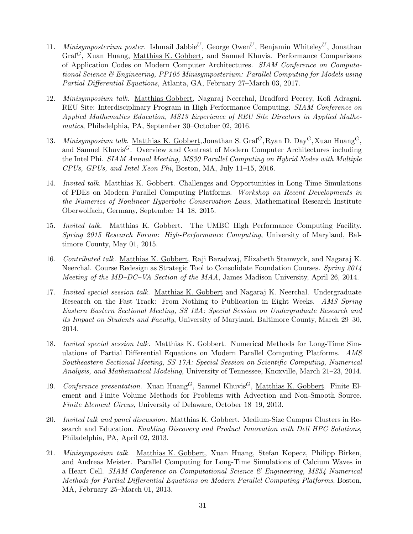- 11. *Minisymposterium poster.* Ishmail Jabbie<sup>U</sup>, George Owen<sup>U</sup>, Benjamin Whiteley<sup>U</sup>, Jonathan Graf<sup>G</sup>, Xuan Huang, Matthias K. Gobbert, and Samuel Khuvis. Performance Comparisons of Application Codes on Modern Computer Architectures. SIAM Conference on Computational Science & Engineering, PP105 Minisymposterium: Parallel Computing for Models using Partial Differential Equations, Atlanta, GA, February 27–March 03, 2017.
- 12. Minisymposium talk. Matthias Gobbert, Nagaraj Neerchal, Bradford Peercy, Kofi Adragni. REU Site: Interdisciplinary Program in High Performance Computing. SIAM Conference on Applied Mathematics Education, MS13 Experience of REU Site Directors in Applied Mathematics, Philadelphia, PA, September 30–October 02, 2016.
- 13. Minisymposium talk. Matthias K. Gobbert, Jonathan S. Graf<sup>G</sup>, Ryan D. Day<sup>G</sup>, Xuan Huang<sup>G</sup>, and Samuel Khuvis<sup>G</sup>. Overview and Contrast of Modern Computer Architectures including the Intel Phi. SIAM Annual Meeting, MS30 Parallel Computing on Hybrid Nodes with Multiple CPUs, GPUs, and Intel Xeon Phi, Boston, MA, July 11–15, 2016.
- 14. Invited talk. Matthias K. Gobbert. Challenges and Opportunities in Long-Time Simulations of PDEs on Modern Parallel Computing Platforms. Workshop on Recent Developments in the Numerics of Nonlinear Hyperbolic Conservation Laws, Mathematical Research Institute Oberwolfach, Germany, September 14–18, 2015.
- 15. Invited talk. Matthias K. Gobbert. The UMBC High Performance Computing Facility. Spring 2015 Research Forum: High-Performance Computing, University of Maryland, Baltimore County, May 01, 2015.
- 16. Contributed talk. Matthias K. Gobbert, Raji Baradwaj, Elizabeth Stanwyck, and Nagaraj K. Neerchal. Course Redesign as Strategic Tool to Consolidate Foundation Courses. Spring 2014 Meeting of the MD–DC–VA Section of the MAA, James Madison University, April 26, 2014.
- 17. Invited special session talk. Matthias K. Gobbert and Nagaraj K. Neerchal. Undergraduate Research on the Fast Track: From Nothing to Publication in Eight Weeks. AMS Spring Eastern Eastern Sectional Meeting, SS 12A: Special Session on Undergraduate Research and its Impact on Students and Faculty, University of Maryland, Baltimore County, March 29–30, 2014.
- 18. Invited special session talk. Matthias K. Gobbert. Numerical Methods for Long-Time Simulations of Partial Differential Equations on Modern Parallel Computing Platforms. AMS Southeastern Sectional Meeting, SS 17A: Special Session on Scientific Computing, Numerical Analysis, and Mathematical Modeling, University of Tennessee, Knoxville, March 21–23, 2014.
- 19. Conference presentation. Xuan Huang<sup>G</sup>, Samuel Khuvis<sup>G</sup>, Matthias K. Gobbert. Finite Element and Finite Volume Methods for Problems with Advection and Non-Smooth Source. Finite Element Circus, University of Delaware, October 18–19, 2013.
- 20. Invited talk and panel discussion. Matthias K. Gobbert. Medium-Size Campus Clusters in Research and Education. Enabling Discovery and Product Innovation with Dell HPC Solutions, Philadelphia, PA, April 02, 2013.
- 21. Minisymposium talk. Matthias K. Gobbert, Xuan Huang, Stefan Kopecz, Philipp Birken, and Andreas Meister. Parallel Computing for Long-Time Simulations of Calcium Waves in a Heart Cell. SIAM Conference on Computational Science & Engineering, MS54 Numerical Methods for Partial Differential Equations on Modern Parallel Computing Platforms, Boston, MA, February 25–March 01, 2013.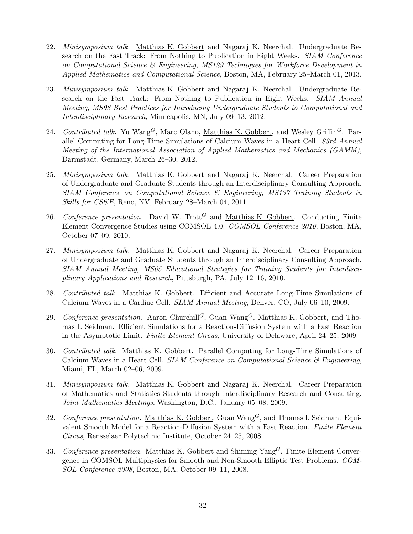- 22. Minisymposium talk. Matthias K. Gobbert and Nagaraj K. Neerchal. Undergraduate Research on the Fast Track: From Nothing to Publication in Eight Weeks. SIAM Conference on Computational Science & Engineering, MS129 Techniques for Workforce Development in Applied Mathematics and Computational Science, Boston, MA, February 25–March 01, 2013.
- 23. Minisymposium talk. Matthias K. Gobbert and Nagaraj K. Neerchal. Undergraduate Research on the Fast Track: From Nothing to Publication in Eight Weeks. SIAM Annual Meeting, MS98 Best Practices for Introducing Undergraduate Students to Computational and Interdisciplinary Research, Minneapolis, MN, July 09–13, 2012.
- 24. Contributed talk. Yu Wang<sup>G</sup>, Marc Olano, Matthias K. Gobbert, and Wesley Griffin<sup>G</sup>. Parallel Computing for Long-Time Simulations of Calcium Waves in a Heart Cell. 83rd Annual Meeting of the International Association of Applied Mathematics and Mechanics (GAMM), Darmstadt, Germany, March 26–30, 2012.
- 25. Minisymposium talk. Matthias K. Gobbert and Nagaraj K. Neerchal. Career Preparation of Undergraduate and Graduate Students through an Interdisciplinary Consulting Approach. SIAM Conference on Computational Science & Engineering, MS137 Training Students in Skills for CS&E, Reno, NV, February 28–March 04, 2011.
- 26. Conference presentation. David W. Trott<sup>G</sup> and Matthias K. Gobbert. Conducting Finite Element Convergence Studies using COMSOL 4.0. COMSOL Conference 2010, Boston, MA, October 07–09, 2010.
- 27. *Minisymposium talk.* Matthias K. Gobbert and Nagaraj K. Neerchal. Career Preparation of Undergraduate and Graduate Students through an Interdisciplinary Consulting Approach. SIAM Annual Meeting, MS65 Educational Strategies for Training Students for Interdisciplinary Applications and Research, Pittsburgh, PA, July 12–16, 2010.
- 28. Contributed talk. Matthias K. Gobbert. Efficient and Accurate Long-Time Simulations of Calcium Waves in a Cardiac Cell. SIAM Annual Meeting, Denver, CO, July 06–10, 2009.
- 29. Conference presentation. Aaron Churchill<sup>G</sup>, Guan Wang<sup>G</sup>, Matthias K. Gobbert, and Thomas I. Seidman. Efficient Simulations for a Reaction-Diffusion System with a Fast Reaction in the Asymptotic Limit. Finite Element Circus, University of Delaware, April 24–25, 2009.
- 30. Contributed talk. Matthias K. Gobbert. Parallel Computing for Long-Time Simulations of Calcium Waves in a Heart Cell. SIAM Conference on Computational Science  $\mathcal{C}$  Engineering, Miami, FL, March 02–06, 2009.
- 31. Minisymposium talk. Matthias K. Gobbert and Nagaraj K. Neerchal. Career Preparation of Mathematics and Statistics Students through Interdisciplinary Research and Consulting. Joint Mathematics Meetings, Washington, D.C., January 05–08, 2009.
- 32. Conference presentation. Matthias K. Gobbert, Guan Wang<sup>G</sup>, and Thomas I. Seidman. Equivalent Smooth Model for a Reaction-Diffusion System with a Fast Reaction. Finite Element Circus, Rensselaer Polytechnic Institute, October 24–25, 2008.
- 33. Conference presentation. Matthias K. Gobbert and Shiming  $\text{Yang}^G$ . Finite Element Convergence in COMSOL Multiphysics for Smooth and Non-Smooth Elliptic Test Problems. COM-SOL Conference 2008, Boston, MA, October 09–11, 2008.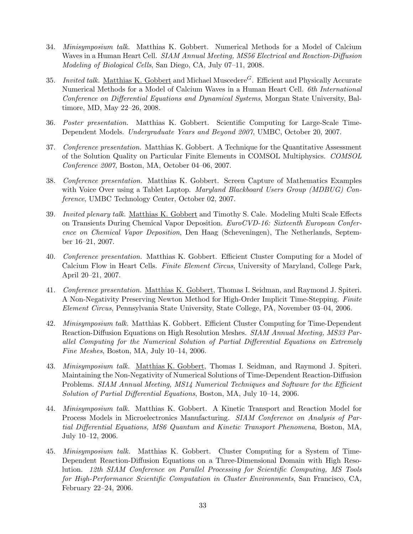- 34. Minisymposium talk. Matthias K. Gobbert. Numerical Methods for a Model of Calcium Waves in a Human Heart Cell. SIAM Annual Meeting, MS56 Electrical and Reaction-Diffusion Modeling of Biological Cells, San Diego, CA, July 07–11, 2008.
- 35. Invited talk. Matthias K. Gobbert and Michael Muscedere<sup>G</sup>. Efficient and Physically Accurate Numerical Methods for a Model of Calcium Waves in a Human Heart Cell. 6th International Conference on Differential Equations and Dynamical Systems, Morgan State University, Baltimore, MD, May 22–26, 2008.
- 36. Poster presentation. Matthias K. Gobbert. Scientific Computing for Large-Scale Time-Dependent Models. Undergraduate Years and Beyond 2007, UMBC, October 20, 2007.
- 37. Conference presentation. Matthias K. Gobbert. A Technique for the Quantitative Assessment of the Solution Quality on Particular Finite Elements in COMSOL Multiphysics. COMSOL Conference 2007, Boston, MA, October 04–06, 2007.
- 38. Conference presentation. Matthias K. Gobbert. Screen Capture of Mathematics Examples with Voice Over using a Tablet Laptop. Maryland Blackboard Users Group (MDBUG) Conference, UMBC Technology Center, October 02, 2007.
- 39. Invited plenary talk. Matthias K. Gobbert and Timothy S. Cale. Modeling Multi Scale Effects on Transients During Chemical Vapor Deposition. EuroCVD-16: Sixteenth European Conference on Chemical Vapor Deposition, Den Haag (Scheveningen), The Netherlands, September 16–21, 2007.
- 40. Conference presentation. Matthias K. Gobbert. Efficient Cluster Computing for a Model of Calcium Flow in Heart Cells. Finite Element Circus, University of Maryland, College Park, April 20–21, 2007.
- 41. Conference presentation. Matthias K. Gobbert, Thomas I. Seidman, and Raymond J. Spiteri. A Non-Negativity Preserving Newton Method for High-Order Implicit Time-Stepping. Finite Element Circus, Pennsylvania State University, State College, PA, November 03–04, 2006.
- 42. Minisymposium talk. Matthias K. Gobbert. Efficient Cluster Computing for Time-Dependent Reaction-Diffusion Equations on High Resolution Meshes. SIAM Annual Meeting, MS33 Parallel Computing for the Numerical Solution of Partial Differential Equations on Extremely Fine Meshes, Boston, MA, July 10–14, 2006.
- 43. Minisymposium talk. Matthias K. Gobbert, Thomas I. Seidman, and Raymond J. Spiteri. Maintaining the Non-Negativity of Numerical Solutions of Time-Dependent Reaction-Diffusion Problems. SIAM Annual Meeting, MS14 Numerical Techniques and Software for the Efficient Solution of Partial Differential Equations, Boston, MA, July 10–14, 2006.
- 44. Minisymposium talk. Matthias K. Gobbert. A Kinetic Transport and Reaction Model for Process Models in Microelectronics Manufacturing. SIAM Conference on Analysis of Partial Differential Equations, MS6 Quantum and Kinetic Transport Phenomena, Boston, MA, July 10–12, 2006.
- 45. Minisymposium talk. Matthias K. Gobbert. Cluster Computing for a System of Time-Dependent Reaction-Diffusion Equations on a Three-Dimensional Domain with High Resolution. 12th SIAM Conference on Parallel Processing for Scientific Computing, MS Tools for High-Performance Scientific Computation in Cluster Environments, San Francisco, CA, February 22–24, 2006.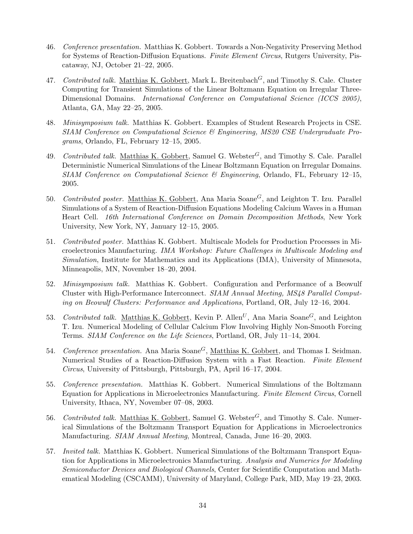- 46. Conference presentation. Matthias K. Gobbert. Towards a Non-Negativity Preserving Method for Systems of Reaction-Diffusion Equations. Finite Element Circus, Rutgers University, Piscataway, NJ, October 21–22, 2005.
- 47. Contributed talk. Matthias K. Gobbert, Mark L. Breitenbach<sup> $G$ </sup>, and Timothy S. Cale. Cluster Computing for Transient Simulations of the Linear Boltzmann Equation on Irregular Three-Dimensional Domains. *International Conference on Computational Science (ICCS 2005)*, Atlanta, GA, May 22–25, 2005.
- 48. Minisymposium talk. Matthias K. Gobbert. Examples of Student Research Projects in CSE. SIAM Conference on Computational Science & Engineering, MS20 CSE Undergraduate Programs, Orlando, FL, February 12–15, 2005.
- 49. Contributed talk. Matthias K. Gobbert, Samuel G. Webster<sup>G</sup>, and Timothy S. Cale. Parallel Deterministic Numerical Simulations of the Linear Boltzmann Equation on Irregular Domains. SIAM Conference on Computational Science & Engineering, Orlando, FL, February 12–15, 2005.
- 50. Contributed poster. Matthias K. Gobbert, Ana Maria Soane<sup>G</sup>, and Leighton T. Izu. Parallel Simulations of a System of Reaction-Diffusion Equations Modeling Calcium Waves in a Human Heart Cell. 16th International Conference on Domain Decomposition Methods, New York University, New York, NY, January 12–15, 2005.
- 51. Contributed poster. Matthias K. Gobbert. Multiscale Models for Production Processes in Microelectronics Manufacturing. IMA Workshop: Future Challenges in Multiscale Modeling and Simulation, Institute for Mathematics and its Applications (IMA), University of Minnesota, Minneapolis, MN, November 18–20, 2004.
- 52. Minisymposium talk. Matthias K. Gobbert. Configuration and Performance of a Beowulf Cluster with High-Performance Interconnect. SIAM Annual Meeting, MS48 Parallel Computing on Beowulf Clusters: Performance and Applications, Portland, OR, July 12–16, 2004.
- 53. Contributed talk. Matthias K. Gobbert, Kevin P. Allen<sup>U</sup>, Ana Maria Soane<sup>G</sup>, and Leighton T. Izu. Numerical Modeling of Cellular Calcium Flow Involving Highly Non-Smooth Forcing Terms. SIAM Conference on the Life Sciences, Portland, OR, July 11–14, 2004.
- 54. Conference presentation. Ana Maria Soane<sup>G</sup>, Matthias K. Gobbert, and Thomas I. Seidman. Numerical Studies of a Reaction-Diffusion System with a Fast Reaction. Finite Element Circus, University of Pittsburgh, Pittsburgh, PA, April 16–17, 2004.
- 55. Conference presentation. Matthias K. Gobbert. Numerical Simulations of the Boltzmann Equation for Applications in Microelectronics Manufacturing. Finite Element Circus, Cornell University, Ithaca, NY, November 07–08, 2003.
- 56. Contributed talk. Matthias K. Gobbert, Samuel G. Webster<sup>G</sup>, and Timothy S. Cale. Numerical Simulations of the Boltzmann Transport Equation for Applications in Microelectronics Manufacturing. SIAM Annual Meeting, Montreal, Canada, June 16–20, 2003.
- 57. Invited talk. Matthias K. Gobbert. Numerical Simulations of the Boltzmann Transport Equation for Applications in Microelectronics Manufacturing. Analysis and Numerics for Modeling Semiconductor Devices and Biological Channels, Center for Scientific Computation and Mathematical Modeling (CSCAMM), University of Maryland, College Park, MD, May 19–23, 2003.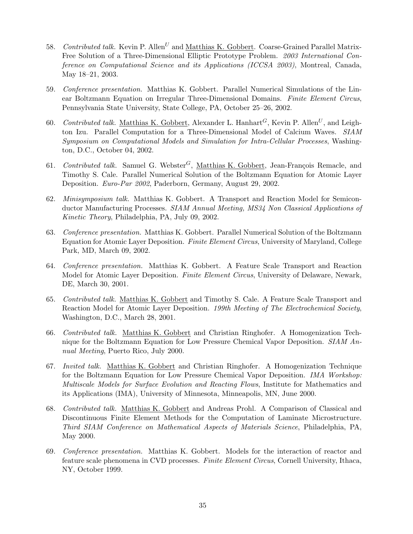- 58. Contributed talk. Kevin P. Allen<sup>U</sup> and Matthias K. Gobbert. Coarse-Grained Parallel Matrix-Free Solution of a Three-Dimensional Elliptic Prototype Problem. 2003 International Conference on Computational Science and its Applications (ICCSA 2003), Montreal, Canada, May 18–21, 2003.
- 59. Conference presentation. Matthias K. Gobbert. Parallel Numerical Simulations of the Linear Boltzmann Equation on Irregular Three-Dimensional Domains. Finite Element Circus, Pennsylvania State University, State College, PA, October 25–26, 2002.
- 60. Contributed talk. Matthias K. Gobbert, Alexander L. Hanhart<sup>G</sup>, Kevin P. Allen<sup>U</sup>, and Leighton Izu. Parallel Computation for a Three-Dimensional Model of Calcium Waves. SIAM Symposium on Computational Models and Simulation for Intra-Cellular Processes, Washington, D.C., October 04, 2002.
- 61. Contributed talk. Samuel G. Webster<sup>G</sup>, Matthias K. Gobbert, Jean-François Remacle, and Timothy S. Cale. Parallel Numerical Solution of the Boltzmann Equation for Atomic Layer Deposition. Euro-Par 2002, Paderborn, Germany, August 29, 2002.
- 62. Minisymposium talk. Matthias K. Gobbert. A Transport and Reaction Model for Semiconductor Manufacturing Processes. SIAM Annual Meeting, MS34 Non Classical Applications of Kinetic Theory, Philadelphia, PA, July 09, 2002.
- 63. Conference presentation. Matthias K. Gobbert. Parallel Numerical Solution of the Boltzmann Equation for Atomic Layer Deposition. Finite Element Circus, University of Maryland, College Park, MD, March 09, 2002.
- 64. Conference presentation. Matthias K. Gobbert. A Feature Scale Transport and Reaction Model for Atomic Layer Deposition. Finite Element Circus, University of Delaware, Newark, DE, March 30, 2001.
- 65. Contributed talk. Matthias K. Gobbert and Timothy S. Cale. A Feature Scale Transport and Reaction Model for Atomic Layer Deposition. 199th Meeting of The Electrochemical Society, Washington, D.C., March 28, 2001.
- 66. Contributed talk. Matthias K. Gobbert and Christian Ringhofer. A Homogenization Technique for the Boltzmann Equation for Low Pressure Chemical Vapor Deposition. SIAM Annual Meeting, Puerto Rico, July 2000.
- 67. Invited talk. Matthias K. Gobbert and Christian Ringhofer. A Homogenization Technique for the Boltzmann Equation for Low Pressure Chemical Vapor Deposition. IMA Workshop: Multiscale Models for Surface Evolution and Reacting Flows, Institute for Mathematics and its Applications (IMA), University of Minnesota, Minneapolis, MN, June 2000.
- 68. Contributed talk. Matthias K. Gobbert and Andreas Prohl. A Comparison of Classical and Discontinuous Finite Element Methods for the Computation of Laminate Microstructure. Third SIAM Conference on Mathematical Aspects of Materials Science, Philadelphia, PA, May 2000.
- 69. Conference presentation. Matthias K. Gobbert. Models for the interaction of reactor and feature scale phenomena in CVD processes. Finite Element Circus, Cornell University, Ithaca, NY, October 1999.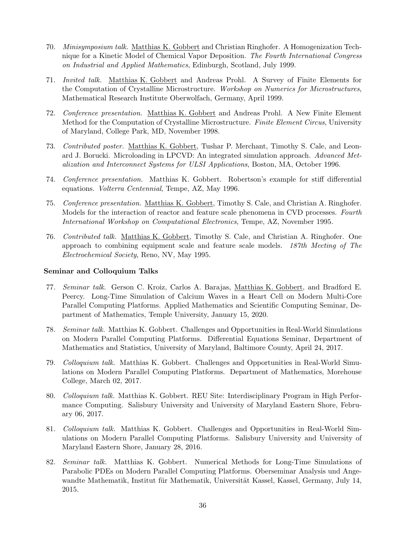- 70. Minisymposium talk. Matthias K. Gobbert and Christian Ringhofer. A Homogenization Technique for a Kinetic Model of Chemical Vapor Deposition. The Fourth International Congress on Industrial and Applied Mathematics, Edinburgh, Scotland, July 1999.
- 71. Invited talk. Matthias K. Gobbert and Andreas Prohl. A Survey of Finite Elements for the Computation of Crystalline Microstructure. Workshop on Numerics for Microstructures, Mathematical Research Institute Oberwolfach, Germany, April 1999.
- 72. Conference presentation. Matthias K. Gobbert and Andreas Prohl. A New Finite Element Method for the Computation of Crystalline Microstructure. Finite Element Circus, University of Maryland, College Park, MD, November 1998.
- 73. Contributed poster. Matthias K. Gobbert, Tushar P. Merchant, Timothy S. Cale, and Leonard J. Borucki. Microloading in LPCVD: An integrated simulation approach. Advanced Metalization and Interconnect Systems for ULSI Applications, Boston, MA, October 1996.
- 74. Conference presentation. Matthias K. Gobbert. Robertson's example for stiff differential equations. Volterra Centennial, Tempe, AZ, May 1996.
- 75. Conference presentation. Matthias K. Gobbert, Timothy S. Cale, and Christian A. Ringhofer. Models for the interaction of reactor and feature scale phenomena in CVD processes. Fourth International Workshop on Computational Electronics, Tempe, AZ, November 1995.
- 76. Contributed talk. Matthias K. Gobbert, Timothy S. Cale, and Christian A. Ringhofer. One approach to combining equipment scale and feature scale models. 187th Meeting of The Electrochemical Society, Reno, NV, May 1995.

## Seminar and Colloquium Talks

- 77. Seminar talk. Gerson C. Kroiz, Carlos A. Barajas, Matthias K. Gobbert, and Bradford E. Peercy. Long-Time Simulation of Calcium Waves in a Heart Cell on Modern Multi-Core Parallel Computing Platforms. Applied Mathematics and Scientific Computing Seminar, Department of Mathematics, Temple University, January 15, 2020.
- 78. Seminar talk. Matthias K. Gobbert. Challenges and Opportunities in Real-World Simulations on Modern Parallel Computing Platforms. Differential Equations Seminar, Department of Mathematics and Statistics, University of Maryland, Baltimore County, April 24, 2017.
- 79. Colloquium talk. Matthias K. Gobbert. Challenges and Opportunities in Real-World Simulations on Modern Parallel Computing Platforms. Department of Mathematics, Morehouse College, March 02, 2017.
- 80. Colloquium talk. Matthias K. Gobbert. REU Site: Interdisciplinary Program in High Performance Computing. Salisbury University and University of Maryland Eastern Shore, February 06, 2017.
- 81. Colloquium talk. Matthias K. Gobbert. Challenges and Opportunities in Real-World Simulations on Modern Parallel Computing Platforms. Salisbury University and University of Maryland Eastern Shore, January 28, 2016.
- 82. Seminar talk. Matthias K. Gobbert. Numerical Methods for Long-Time Simulations of Parabolic PDEs on Modern Parallel Computing Platforms. Oberseminar Analysis und Angewandte Mathematik, Institut für Mathematik, Universität Kassel, Kassel, Germany, July 14, 2015.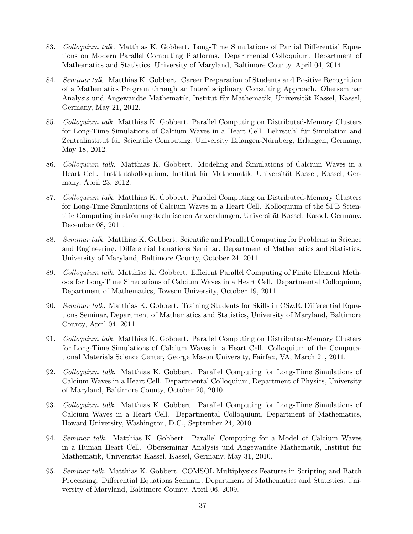- 83. Colloquium talk. Matthias K. Gobbert. Long-Time Simulations of Partial Differential Equations on Modern Parallel Computing Platforms. Departmental Colloquium, Department of Mathematics and Statistics, University of Maryland, Baltimore County, April 04, 2014.
- 84. Seminar talk. Matthias K. Gobbert. Career Preparation of Students and Positive Recognition of a Mathematics Program through an Interdisciplinary Consulting Approach. Oberseminar Analysis und Angewandte Mathematik, Institut für Mathematik, Universität Kassel, Kassel, Germany, May 21, 2012.
- 85. Colloquium talk. Matthias K. Gobbert. Parallel Computing on Distributed-Memory Clusters for Long-Time Simulations of Calcium Waves in a Heart Cell. Lehrstuhl für Simulation and Zentralinstitut für Scientific Computing, University Erlangen-Nürnberg, Erlangen, Germany, May 18, 2012.
- 86. Colloquium talk. Matthias K. Gobbert. Modeling and Simulations of Calcium Waves in a Heart Cell. Institutskolloquium, Institut für Mathematik, Universität Kassel, Kassel, Germany, April 23, 2012.
- 87. Colloquium talk. Matthias K. Gobbert. Parallel Computing on Distributed-Memory Clusters for Long-Time Simulations of Calcium Waves in a Heart Cell. Kolloquium of the SFB Scientific Computing in strömungstechnischen Anwendungen, Universität Kassel, Kassel, Germany, December 08, 2011.
- 88. Seminar talk. Matthias K. Gobbert. Scientific and Parallel Computing for Problems in Science and Engineering. Differential Equations Seminar, Department of Mathematics and Statistics, University of Maryland, Baltimore County, October 24, 2011.
- 89. Colloquium talk. Matthias K. Gobbert. Efficient Parallel Computing of Finite Element Methods for Long-Time Simulations of Calcium Waves in a Heart Cell. Departmental Colloquium, Department of Mathematics, Towson University, October 19, 2011.
- 90. Seminar talk. Matthias K. Gobbert. Training Students for Skills in CS&E. Differential Equations Seminar, Department of Mathematics and Statistics, University of Maryland, Baltimore County, April 04, 2011.
- 91. Colloquium talk. Matthias K. Gobbert. Parallel Computing on Distributed-Memory Clusters for Long-Time Simulations of Calcium Waves in a Heart Cell. Colloquium of the Computational Materials Science Center, George Mason University, Fairfax, VA, March 21, 2011.
- 92. Colloquium talk. Matthias K. Gobbert. Parallel Computing for Long-Time Simulations of Calcium Waves in a Heart Cell. Departmental Colloquium, Department of Physics, University of Maryland, Baltimore County, October 20, 2010.
- 93. Colloquium talk. Matthias K. Gobbert. Parallel Computing for Long-Time Simulations of Calcium Waves in a Heart Cell. Departmental Colloquium, Department of Mathematics, Howard University, Washington, D.C., September 24, 2010.
- 94. Seminar talk. Matthias K. Gobbert. Parallel Computing for a Model of Calcium Waves in a Human Heart Cell. Oberseminar Analysis und Angewandte Mathematik, Institut für Mathematik, Universität Kassel, Kassel, Germany, May 31, 2010.
- 95. Seminar talk. Matthias K. Gobbert. COMSOL Multiphysics Features in Scripting and Batch Processing. Differential Equations Seminar, Department of Mathematics and Statistics, University of Maryland, Baltimore County, April 06, 2009.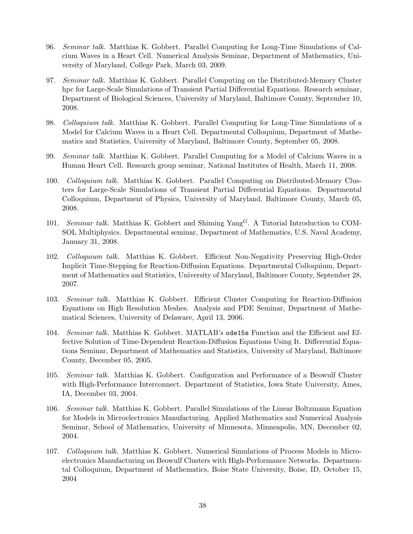- 96. Seminar talk. Matthias K. Gobbert. Parallel Computing for Long-Time Simulations of Calcium Waves in a Heart Cell. Numerical Analysis Seminar, Department of Mathematics, University of Maryland, College Park, March 03, 2009.
- 97. Seminar talk. Matthias K. Gobbert. Parallel Computing on the Distributed-Memory Cluster hpc for Large-Scale Simulations of Transient Partial Differential Equations. Research seminar, Department of Biological Sciences, University of Maryland, Baltimore County, September 10, 2008.
- 98. Colloquium talk. Matthias K. Gobbert. Parallel Computing for Long-Time Simulations of a Model for Calcium Waves in a Heart Cell. Departmental Colloquium, Department of Mathematics and Statistics, University of Maryland, Baltimore County, September 05, 2008.
- 99. Seminar talk. Matthias K. Gobbert. Parallel Computing for a Model of Calcium Waves in a Human Heart Cell. Research group seminar, National Institutes of Health, March 11, 2008.
- 100. Colloquium talk. Matthias K. Gobbert. Parallel Computing on Distributed-Memory Clusters for Large-Scale Simulations of Transient Partial Differential Equations. Departmental Colloquium, Department of Physics, University of Maryland, Baltimore County, March 05, 2008.
- 101. Seminar talk. Matthias K. Gobbert and Shiming  $\text{Yang}^G$ . A Tutorial Introduction to COM-SOL Multiphysics. Departmental seminar, Department of Mathematics, U.S. Naval Academy, January 31, 2008.
- 102. Colloquium talk. Matthias K. Gobbert. Efficient Non-Negativity Preserving High-Order Implicit Time-Stepping for Reaction-Diffusion Equations. Departmental Colloquium, Department of Mathematics and Statistics, University of Maryland, Baltimore County, September 28, 2007.
- 103. Seminar talk. Matthias K. Gobbert. Efficient Cluster Computing for Reaction-Diffusion Equations on High Resolution Meshes. Analysis and PDE Seminar, Department of Mathematical Sciences, University of Delaware, April 13, 2006.
- 104. Seminar talk. Matthias K. Gobbert. MATLAB's ode15s Function and the Efficient and Effective Solution of Time-Dependent Reaction-Diffusion Equations Using It. Differential Equations Seminar, Department of Mathematics and Statistics, University of Maryland, Baltimore County, December 05, 2005.
- 105. Seminar talk. Matthias K. Gobbert. Configuration and Performance of a Beowulf Cluster with High-Performance Interconnect. Department of Statistics, Iowa State University, Ames, IA, December 03, 2004.
- 106. Seminar talk. Matthias K. Gobbert. Parallel Simulations of the Linear Boltzmann Equation for Models in Microelectronics Manufacturing. Applied Mathematics and Numerical Analysis Seminar, School of Mathematics, University of Minnesota, Minneapolis, MN, December 02, 2004.
- 107. Colloquium talk. Matthias K. Gobbert. Numerical Simulations of Process Models in Microelectronics Manufacturing on Beowulf Clusters with High-Performance Networks. Departmental Colloquium, Department of Mathematics, Boise State University, Boise, ID, October 15, 2004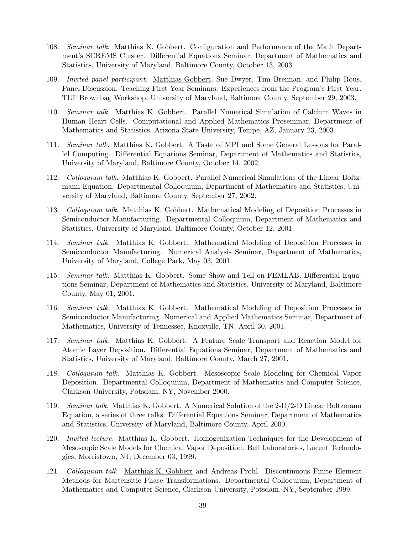- 108. Seminar talk. Matthias K. Gobbert. Configuration and Performance of the Math Department's SCREMS Cluster. Differential Equations Seminar, Department of Mathematics and Statistics, University of Maryland, Baltimore County, October 13, 2003.
- 109. Invited panel participant. Matthias Gobbert, Sue Dwyer, Tim Brennan, and Philip Rous. Panel Discussion: Teaching First Year Seminars: Experiences from the Program's First Year. TLT Brownbag Workshop, University of Maryland, Baltimore County, September 29, 2003.
- 110. Seminar talk. Matthias K. Gobbert. Parallel Numerical Simulation of Calcium Waves in Human Heart Cells. Computational and Applied Mathematics Proseminar, Department of Mathematics and Statistics, Arizona State University, Tempe, AZ, January 23, 2003.
- 111. Seminar talk. Matthias K. Gobbert. A Taste of MPI and Some General Lessons for Parallel Computing. Differential Equations Seminar, Department of Mathematics and Statistics, University of Maryland, Baltimore County, October 14, 2002.
- 112. Colloquium talk. Matthias K. Gobbert. Parallel Numerical Simulations of the Linear Boltzmann Equation. Departmental Colloquium, Department of Mathematics and Statistics, University of Maryland, Baltimore County, September 27, 2002.
- 113. Colloquium talk. Matthias K. Gobbert. Mathematical Modeling of Deposition Processes in Semiconductor Manufacturing. Departmental Colloquium, Department of Mathematics and Statistics, University of Maryland, Baltimore County, October 12, 2001.
- 114. Seminar talk. Matthias K. Gobbert. Mathematical Modeling of Deposition Processes in Semiconductor Manufacturing. Numerical Analysis Seminar, Department of Mathematics, University of Maryland, College Park, May 03, 2001.
- 115. Seminar talk. Matthias K. Gobbert. Some Show-and-Tell on FEMLAB. Differential Equations Seminar, Department of Mathematics and Statistics, University of Maryland, Baltimore County, May 01, 2001.
- 116. Seminar talk. Matthias K. Gobbert. Mathematical Modeling of Deposition Processes in Semiconductor Manufacturing. Numerical and Applied Mathematics Seminar, Department of Mathematics, University of Tennessee, Knoxville, TN, April 30, 2001.
- 117. Seminar talk. Matthias K. Gobbert. A Feature Scale Transport and Reaction Model for Atomic Layer Deposition. Differential Equations Seminar, Department of Mathematics and Statistics, University of Maryland, Baltimore County, March 27, 2001.
- 118. Colloquium talk. Matthias K. Gobbert. Mesoscopic Scale Modeling for Chemical Vapor Deposition. Departmental Colloquium, Department of Mathematics and Computer Science, Clarkson University, Potsdam, NY, November 2000.
- 119. Seminar talk. Matthias K. Gobbert. A Numerical Solution of the 2-D/2-D Linear Boltzmann Equation, a series of three talks. Differential Equations Seminar, Department of Mathematics and Statistics, University of Maryland, Baltimore County, April 2000.
- 120. Invited lecture. Matthias K. Gobbert. Homogenization Techniques for the Development of Mesoscopic Scale Models for Chemical Vapor Deposition. Bell Laboratories, Lucent Technologies, Morristown, NJ, December 03, 1999.
- 121. Colloquium talk. Matthias K. Gobbert and Andreas Prohl. Discontinuous Finite Element Methods for Martensitic Phase Transformations. Departmental Colloquium, Department of Mathematics and Computer Science, Clarkson University, Potsdam, NY, September 1999.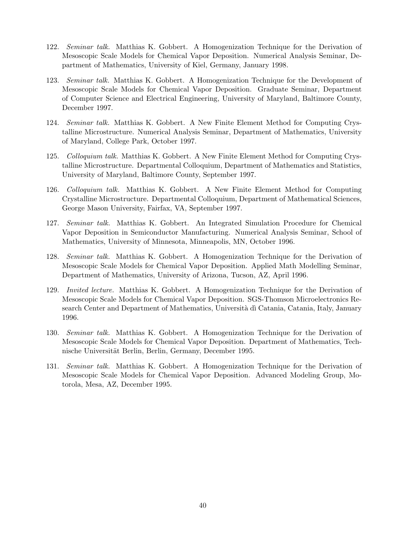- 122. Seminar talk. Matthias K. Gobbert. A Homogenization Technique for the Derivation of Mesoscopic Scale Models for Chemical Vapor Deposition. Numerical Analysis Seminar, Department of Mathematics, University of Kiel, Germany, January 1998.
- 123. Seminar talk. Matthias K. Gobbert. A Homogenization Technique for the Development of Mesoscopic Scale Models for Chemical Vapor Deposition. Graduate Seminar, Department of Computer Science and Electrical Engineering, University of Maryland, Baltimore County, December 1997.
- 124. Seminar talk. Matthias K. Gobbert. A New Finite Element Method for Computing Crystalline Microstructure. Numerical Analysis Seminar, Department of Mathematics, University of Maryland, College Park, October 1997.
- 125. Colloquium talk. Matthias K. Gobbert. A New Finite Element Method for Computing Crystalline Microstructure. Departmental Colloquium, Department of Mathematics and Statistics, University of Maryland, Baltimore County, September 1997.
- 126. Colloquium talk. Matthias K. Gobbert. A New Finite Element Method for Computing Crystalline Microstructure. Departmental Colloquium, Department of Mathematical Sciences, George Mason University, Fairfax, VA, September 1997.
- 127. Seminar talk. Matthias K. Gobbert. An Integrated Simulation Procedure for Chemical Vapor Deposition in Semiconductor Manufacturing. Numerical Analysis Seminar, School of Mathematics, University of Minnesota, Minneapolis, MN, October 1996.
- 128. Seminar talk. Matthias K. Gobbert. A Homogenization Technique for the Derivation of Mesoscopic Scale Models for Chemical Vapor Deposition. Applied Math Modelling Seminar, Department of Mathematics, University of Arizona, Tucson, AZ, April 1996.
- 129. Invited lecture. Matthias K. Gobbert. A Homogenization Technique for the Derivation of Mesoscopic Scale Models for Chemical Vapor Deposition. SGS-Thomson Microelectronics Research Center and Department of Mathematics, Università dì Catania, Catania, Italy, January 1996.
- 130. Seminar talk. Matthias K. Gobbert. A Homogenization Technique for the Derivation of Mesoscopic Scale Models for Chemical Vapor Deposition. Department of Mathematics, Technische Universität Berlin, Berlin, Germany, December 1995.
- 131. Seminar talk. Matthias K. Gobbert. A Homogenization Technique for the Derivation of Mesoscopic Scale Models for Chemical Vapor Deposition. Advanced Modeling Group, Motorola, Mesa, AZ, December 1995.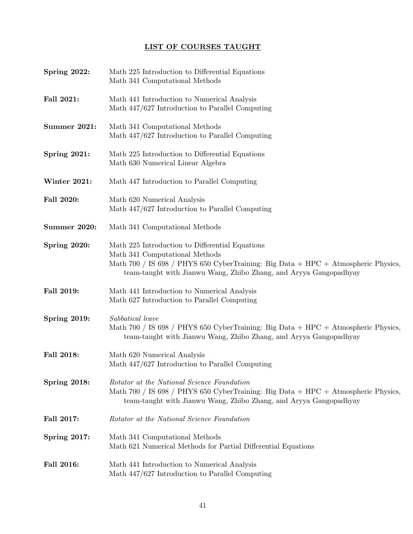# LIST OF COURSES TAUGHT

| Spring 2022:        | Math 225 Introduction to Differential Equations<br>Math 341 Computational Methods                                                                                                                                                           |
|---------------------|---------------------------------------------------------------------------------------------------------------------------------------------------------------------------------------------------------------------------------------------|
| Fall 2021:          | Math 441 Introduction to Numerical Analysis<br>Math 447/627 Introduction to Parallel Computing                                                                                                                                              |
| <b>Summer 2021:</b> | Math 341 Computational Methods<br>Math 447/627 Introduction to Parallel Computing                                                                                                                                                           |
| Spring 2021:        | Math 225 Introduction to Differential Equations<br>Math 630 Numerical Linear Algebra                                                                                                                                                        |
| Winter 2021:        | Math 447 Introduction to Parallel Computing                                                                                                                                                                                                 |
| Fall 2020:          | Math 620 Numerical Analysis<br>Math 447/627 Introduction to Parallel Computing                                                                                                                                                              |
| <b>Summer 2020:</b> | Math 341 Computational Methods                                                                                                                                                                                                              |
| Spring 2020:        | Math 225 Introduction to Differential Equations<br>Math 341 Computational Methods<br>Math 700 / IS 698 / PHYS 650 CyberTraining: Big Data + HPC + Atmospheric Physics,<br>team-taught with Jianwu Wang, Zhibo Zhang, and Aryya Gangopadhyay |
| Fall 2019:          | Math 441 Introduction to Numerical Analysis<br>Math 627 Introduction to Parallel Computing                                                                                                                                                  |
| <b>Spring 2019:</b> | Sabbatical leave<br>Math 700 / IS 698 / PHYS 650 CyberTraining: Big Data + HPC + Atmospheric Physics,<br>team-taught with Jianwu Wang, Zhibo Zhang, and Aryya Gangopadhyay                                                                  |
| Fall 2018:          | Math 620 Numerical Analysis<br>Math 447/627 Introduction to Parallel Computing                                                                                                                                                              |
| Spring 2018:        | Rotator at the National Science Foundation<br>Math 700 / IS 698 / PHYS 650 CyberTraining: Big Data + HPC + Atmospheric Physics,<br>team-taught with Jianwu Wang, Zhibo Zhang, and Aryya Gangopadhyay                                        |
| Fall 2017:          | Rotator at the National Science Foundation                                                                                                                                                                                                  |
| Spring 2017:        | Math 341 Computational Methods<br>Math 621 Numerical Methods for Partial Differential Equations                                                                                                                                             |
| Fall 2016:          | Math 441 Introduction to Numerical Analysis<br>Math 447/627 Introduction to Parallel Computing                                                                                                                                              |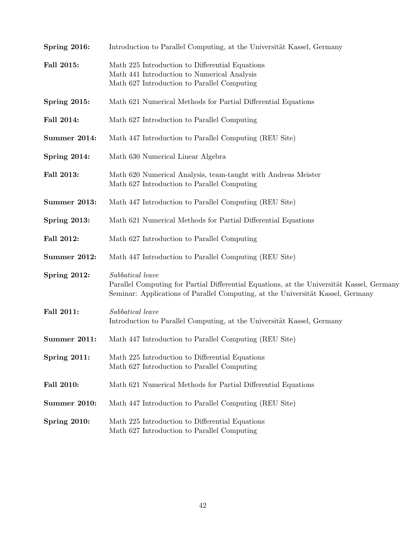| Spring 2016:        | Introduction to Parallel Computing, at the Universität Kassel, Germany                                                                                                                           |
|---------------------|--------------------------------------------------------------------------------------------------------------------------------------------------------------------------------------------------|
| Fall 2015:          | Math 225 Introduction to Differential Equations<br>Math 441 Introduction to Numerical Analysis<br>Math 627 Introduction to Parallel Computing                                                    |
| <b>Spring 2015:</b> | Math 621 Numerical Methods for Partial Differential Equations                                                                                                                                    |
| Fall 2014:          | Math 627 Introduction to Parallel Computing                                                                                                                                                      |
| Summer 2014:        | Math 447 Introduction to Parallel Computing (REU Site)                                                                                                                                           |
| Spring 2014:        | Math 630 Numerical Linear Algebra                                                                                                                                                                |
| Fall 2013:          | Math 620 Numerical Analysis, team-taught with Andreas Meister<br>Math 627 Introduction to Parallel Computing                                                                                     |
| <b>Summer 2013:</b> | Math 447 Introduction to Parallel Computing (REU Site)                                                                                                                                           |
| <b>Spring 2013:</b> | Math 621 Numerical Methods for Partial Differential Equations                                                                                                                                    |
| Fall 2012:          | Math 627 Introduction to Parallel Computing                                                                                                                                                      |
| Summer 2012:        | Math 447 Introduction to Parallel Computing (REU Site)                                                                                                                                           |
| Spring 2012:        | Sabbatical leave<br>Parallel Computing for Partial Differential Equations, at the Universität Kassel, Germany<br>Seminar: Applications of Parallel Computing, at the Universität Kassel, Germany |
| Fall 2011:          | Sabbatical leave<br>Introduction to Parallel Computing, at the Universität Kassel, Germany                                                                                                       |
| Summer 2011:        | Math 447 Introduction to Parallel Computing (REU Site)                                                                                                                                           |
| Spring 2011:        | Math 225 Introduction to Differential Equations<br>Math 627 Introduction to Parallel Computing                                                                                                   |
| Fall 2010:          | Math 621 Numerical Methods for Partial Differential Equations                                                                                                                                    |
| <b>Summer 2010:</b> | Math 447 Introduction to Parallel Computing (REU Site)                                                                                                                                           |
| <b>Spring 2010:</b> | Math 225 Introduction to Differential Equations<br>Math 627 Introduction to Parallel Computing                                                                                                   |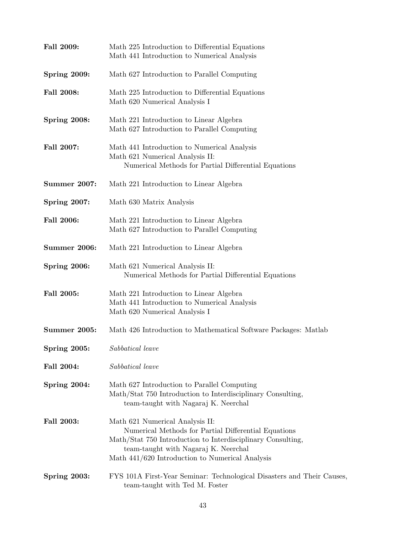| Fall 2009:          | Math 225 Introduction to Differential Equations<br>Math 441 Introduction to Numerical Analysis                                                                                                                                                      |
|---------------------|-----------------------------------------------------------------------------------------------------------------------------------------------------------------------------------------------------------------------------------------------------|
| <b>Spring 2009:</b> | Math 627 Introduction to Parallel Computing                                                                                                                                                                                                         |
| Fall 2008:          | Math 225 Introduction to Differential Equations<br>Math 620 Numerical Analysis I                                                                                                                                                                    |
| Spring 2008:        | Math 221 Introduction to Linear Algebra<br>Math 627 Introduction to Parallel Computing                                                                                                                                                              |
| Fall 2007:          | Math 441 Introduction to Numerical Analysis<br>Math 621 Numerical Analysis II:<br>Numerical Methods for Partial Differential Equations                                                                                                              |
| <b>Summer 2007:</b> | Math 221 Introduction to Linear Algebra                                                                                                                                                                                                             |
| <b>Spring 2007:</b> | Math 630 Matrix Analysis                                                                                                                                                                                                                            |
| Fall 2006:          | Math 221 Introduction to Linear Algebra<br>Math 627 Introduction to Parallel Computing                                                                                                                                                              |
| <b>Summer 2006:</b> | Math 221 Introduction to Linear Algebra                                                                                                                                                                                                             |
| Spring 2006:        | Math 621 Numerical Analysis II:<br>Numerical Methods for Partial Differential Equations                                                                                                                                                             |
| Fall 2005:          | Math 221 Introduction to Linear Algebra<br>Math 441 Introduction to Numerical Analysis<br>Math 620 Numerical Analysis I                                                                                                                             |
| <b>Summer 2005:</b> | Math 426 Introduction to Mathematical Software Packages: Matlab                                                                                                                                                                                     |
| Spring 2005:        | Sabbatical leave                                                                                                                                                                                                                                    |
| Fall 2004:          | Sabbatical leave                                                                                                                                                                                                                                    |
| Spring 2004:        | Math 627 Introduction to Parallel Computing<br>Math/Stat 750 Introduction to Interdisciplinary Consulting,<br>team-taught with Nagaraj K. Neerchal                                                                                                  |
| Fall 2003:          | Math 621 Numerical Analysis II:<br>Numerical Methods for Partial Differential Equations<br>Math/Stat 750 Introduction to Interdisciplinary Consulting,<br>team-taught with Nagaraj K. Neerchal<br>Math $441/620$ Introduction to Numerical Analysis |
| Spring 2003:        | FYS 101A First-Year Seminar: Technological Disasters and Their Causes,<br>team-taught with Ted M. Foster                                                                                                                                            |